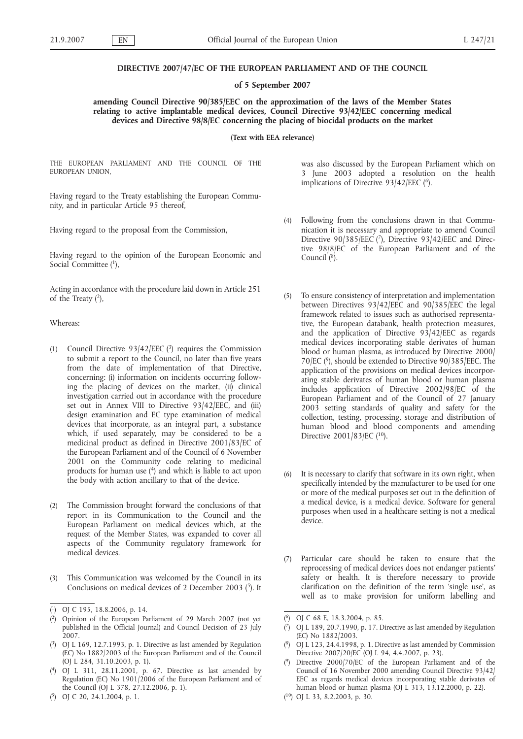#### **DIRECTIVE 2007/47/EC OF THE EUROPEAN PARLIAMENT AND OF THE COUNCIL**

**of 5 September 2007**

**amending Council Directive 90/385/EEC on the approximation of the laws of the Member States relating to active implantable medical devices, Council Directive 93/42/EEC concerning medical devices and Directive 98/8/EC concerning the placing of biocidal products on the market**

**(Text with EEA relevance)**

THE EUROPEAN PARLIAMENT AND THE COUNCIL OF THE EUROPEAN UNION,

Having regard to the Treaty establishing the European Community, and in particular Article 95 thereof,

Having regard to the proposal from the Commission,

Having regard to the opinion of the European Economic and Social Committee (1),

Acting in accordance with the procedure laid down in Article 251 of the Treaty  $(2)$ ,

Whereas:

- (1) Council Directive  $93/42/EEC$  (<sup>3</sup>) requires the Commission to submit a report to the Council, no later than five years from the date of implementation of that Directive, concerning: (i) information on incidents occurring following the placing of devices on the market, (ii) clinical investigation carried out in accordance with the procedure set out in Annex VIII to Directive 93/42/EEC, and (iii) design examination and EC type examination of medical devices that incorporate, as an integral part, a substance which, if used separately, may be considered to be a medicinal product as defined in Directive 2001/83/EC of the European Parliament and of the Council of 6 November 2001 on the Community code relating to medicinal products for human use  $(4)$  and which is liable to act upon the body with action ancillary to that of the device.
- (2) The Commission brought forward the conclusions of that report in its Communication to the Council and the European Parliament on medical devices which, at the request of the Member States, was expanded to cover all aspects of the Community regulatory framework for medical devices.
- (3) This Communication was welcomed by the Council in its Conclusions on medical devices of 2 December 2003  $(5)$ . It

- ( 2) Opinion of the European Parliament of 29 March 2007 (not yet published in the Official Journal) and Council Decision of 23 July 2007.
- ( 3) OJ L 169, 12.7.1993, p. 1. Directive as last amended by Regulation (EC) No 1882/2003 of the European Parliament and of the Council (OJ L 284, 31.10.2003, p. 1).
- ( 4) OJ L 311, 28.11.2001, p. 67. Directive as last amended by Regulation (EC) No 1901/2006 of the European Parliament and of the Council (OJ L 378, 27.12.2006, p. 1).
- ( 5) OJ C 20, 24.1.2004, p. 1.

was also discussed by the European Parliament which on 3 June 2003 adopted a resolution on the health implications of Directive 93/42/EEC (6).

- (4) Following from the conclusions drawn in that Communication it is necessary and appropriate to amend Council Directive 90/385/EEC (7), Directive 93/42/EEC and Directive 98/8/EC of the European Parliament and of the Council (8).
- (5) To ensure consistency of interpretation and implementation between Directives 93/42/EEC and 90/385/EEC the legal framework related to issues such as authorised representative, the European databank, health protection measures, and the application of Directive  $9\frac{3}{42}$ /EEC as regards medical devices incorporating stable derivates of human blood or human plasma, as introduced by Directive 2000/ 70/EC (9), should be extended to Directive 90/385/EEC. The application of the provisions on medical devices incorporating stable derivates of human blood or human plasma includes application of Directive 2002/98/EC of the European Parliament and of the Council of 27 January 2003 setting standards of quality and safety for the collection, testing, processing, storage and distribution of human blood and blood components and amending Directive  $2001/83$ /EC (<sup>10</sup>).
- (6) It is necessary to clarify that software in its own right, when specifically intended by the manufacturer to be used for one or more of the medical purposes set out in the definition of a medical device, is a medical device. Software for general purposes when used in a healthcare setting is not a medical device.
- (7) Particular care should be taken to ensure that the reprocessing of medical devices does not endanger patients' safety or health. It is therefore necessary to provide clarification on the definition of the term 'single use', as well as to make provision for uniform labelling and

- $\binom{7}{1}$  OJ L 189, 20.7.1990, p. 17. Directive as last amended by Regulation (EC) No 1882/2003.
- ( 8) OJ L 123, 24.4.1998, p. 1. Directive as last amended by Commission Directive 2007/20/EC (OJ L 94, 4.4.2007, p. 23).
- ( 9) Directive 2000/70/EC of the European Parliament and of the Council of 16 November 2000 amending Council Directive 93/42/ EEC as regards medical devices incorporating stable derivates of human blood or human plasma (OJ L 313, 13.12.2000, p. 22).
- ( 10) OJ L 33, 8.2.2003, p. 30.

<sup>(</sup> 1) OJ C 195, 18.8.2006, p. 14.

<sup>(</sup> 6) OJ C 68 E, 18.3.2004, p. 85.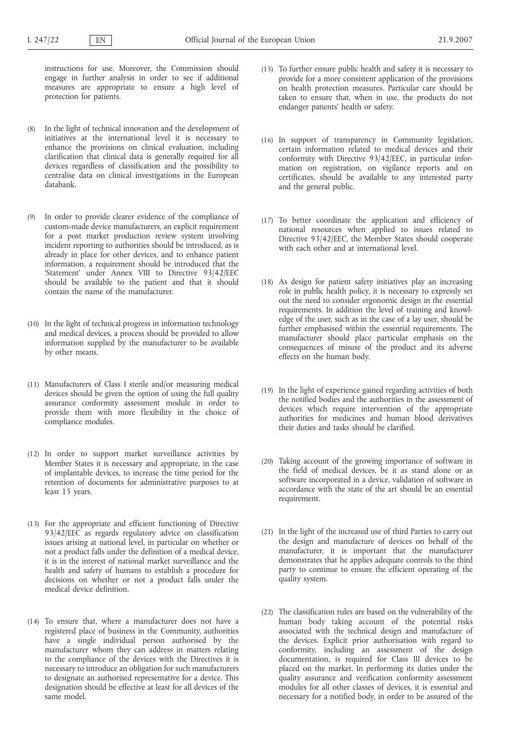instructions for use. Moreover, the Commission should engage in further analysis in order to see if additional measures are appropriate to ensure a high level of protection for patients.

- (8) In the light of technical innovation and the development of initiatives at the international level it is necessary to enhance the provisions on clinical evaluation, including clarification that clinical data is generally required for all devices regardless of classification and the possibility to centralise data on clinical investigations in the European databank.
- (9) In order to provide clearer evidence of the compliance of custom-made device manufacturers, an explicit requirement for a post market production review system involving incident reporting to authorities should be introduced, as is already in place for other devices, and to enhance patient information, a requirement should be introduced that the 'Statement' under Annex VIII to Directive 93/42/EEC should be available to the patient and that it should contain the name of the manufacturer.
- (10) In the light of technical progress in information technology and medical devices, a process should be provided to allow information supplied by the manufacturer to be available by other means.
- (11) Manufacturers of Class I sterile and/or measuring medical devices should be given the option of using the full quality assurance conformity assessment module in order to provide them with more flexibility in the choice of compliance modules.
- (12) In order to support market surveillance activities by Member States it is necessary and appropriate, in the case of implantable devices, to increase the time period for the retention of documents for administrative purposes to at least 15 years.
- (13) For the appropriate and efficient functioning of Directive 93/42/EEC as regards regulatory advice on classification issues arising at national level, in particular on whether or not a product falls under the definition of a medical device, it is in the interest of national market surveillance and the health and safety of humans to establish a procedure for decisions on whether or not a product falls under the medical device definition.
- (14) To ensure that, where a manufacturer does not have a registered place of business in the Community, authorities have a single individual person authorised by the manufacturer whom they can address in matters relating to the compliance of the devices with the Directives it is necessary to introduce an obligation for such manufacturers to designate an authorised representative for a device. This designation should be effective at least for all devices of the same model.
- (15) To further ensure public health and safety it is necessary to provide for a more consistent application of the provisions on health protection measures. Particular care should be taken to ensure that, when in use, the products do not endanger patients' health or safety.
- (16) In support of transparency in Community legislation, certain information related to medical devices and their conformity with Directive 93/42/EEC, in particular information on registration, on vigilance reports and on certificates, should be available to any interested party and the general public.
- (17) To better coordinate the application and efficiency of national resources when applied to issues related to Directive 93/42/EEC, the Member States should cooperate with each other and at international level.
- (18) As design for patient safety initiatives play an increasing role in public health policy, it is necessary to expressly set out the need to consider ergonomic design in the essential requirements. In addition the level of training and knowledge of the user, such as in the case of a lay user, should be further emphasised within the essential requirements. The manufacturer should place particular emphasis on the consequences of misuse of the product and its adverse effects on the human body.
- (19) In the light of experience gained regarding activities of both the notified bodies and the authorities in the assessment of devices which require intervention of the appropriate authorities for medicines and human blood derivatives their duties and tasks should be clarified.
- (20) Taking account of the growing importance of software in the field of medical devices, be it as stand alone or as software incorporated in a device, validation of software in accordance with the state of the art should be an essential requirement.
- (21) In the light of the increased use of third Parties to carry out the design and manufacture of devices on behalf of the manufacturer, it is important that the manufacturer demonstrates that he applies adequate controls to the third party to continue to ensure the efficient operating of the quality system.
- (22) The classification rules are based on the vulnerability of the human body taking account of the potential risks associated with the technical design and manufacture of the devices. Explicit prior authorisation with regard to conformity, including an assessment of the design documentation, is required for Class III devices to be placed on the market. In performing its duties under the quality assurance and verification conformity assessment modules for all other classes of devices, it is essential and necessary for a notified body, in order to be assured of the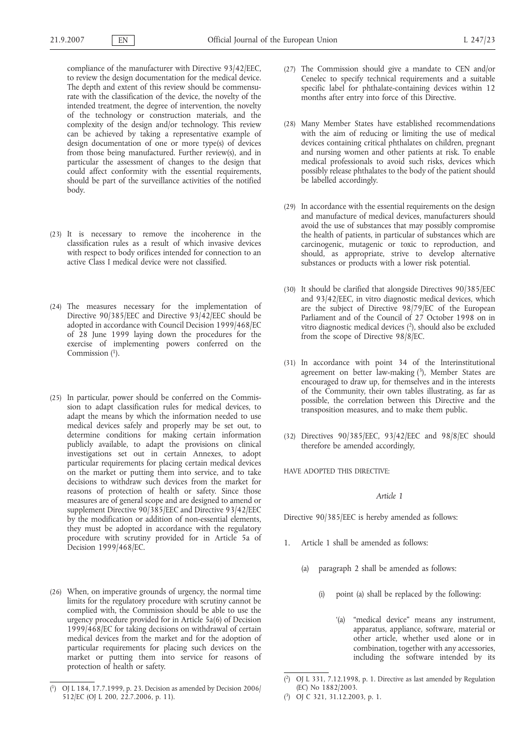compliance of the manufacturer with Directive 93/42/EEC, to review the design documentation for the medical device. The depth and extent of this review should be commensurate with the classification of the device, the novelty of the intended treatment, the degree of intervention, the novelty of the technology or construction materials, and the complexity of the design and/or technology. This review can be achieved by taking a representative example of design documentation of one or more type(s) of devices from those being manufactured. Further review(s), and in particular the assessment of changes to the design that could affect conformity with the essential requirements, should be part of the surveillance activities of the notified body.

- (23) It is necessary to remove the incoherence in the classification rules as a result of which invasive devices with respect to body orifices intended for connection to an active Class I medical device were not classified.
- (24) The measures necessary for the implementation of Directive 90/385/EEC and Directive 93/42/EEC should be adopted in accordance with Council Decision 1999/468/EC of 28 June 1999 laying down the procedures for the exercise of implementing powers conferred on the Commission  $(1)$ .
- (25) In particular, power should be conferred on the Commission to adapt classification rules for medical devices, to adapt the means by which the information needed to use medical devices safely and properly may be set out, to determine conditions for making certain information publicly available, to adapt the provisions on clinical investigations set out in certain Annexes, to adopt particular requirements for placing certain medical devices on the market or putting them into service, and to take decisions to withdraw such devices from the market for reasons of protection of health or safety. Since those measures are of general scope and are designed to amend or supplement Directive 90/385/EEC and Directive 93/42/EEC by the modification or addition of non-essential elements, they must be adopted in accordance with the regulatory procedure with scrutiny provided for in Article 5a of Decision 1999/468/EC.
- (26) When, on imperative grounds of urgency, the normal time limits for the regulatory procedure with scrutiny cannot be complied with, the Commission should be able to use the urgency procedure provided for in Article 5a(6) of Decision 1999/468/EC for taking decisions on withdrawal of certain medical devices from the market and for the adoption of particular requirements for placing such devices on the market or putting them into service for reasons of protection of health or safety.
- (27) The Commission should give a mandate to CEN and/or Cenelec to specify technical requirements and a suitable specific label for phthalate-containing devices within 12 months after entry into force of this Directive.
- (28) Many Member States have established recommendations with the aim of reducing or limiting the use of medical devices containing critical phthalates on children, pregnant and nursing women and other patients at risk. To enable medical professionals to avoid such risks, devices which possibly release phthalates to the body of the patient should be labelled accordingly.
- (29) In accordance with the essential requirements on the design and manufacture of medical devices, manufacturers should avoid the use of substances that may possibly compromise the health of patients, in particular of substances which are carcinogenic, mutagenic or toxic to reproduction, and should, as appropriate, strive to develop alternative substances or products with a lower risk potential.
- (30) It should be clarified that alongside Directives 90/385/EEC and 93/42/EEC, in vitro diagnostic medical devices, which are the subject of Directive 98/79/EC of the European Parliament and of the Council of 27 October 1998 on in vitro diagnostic medical devices (2), should also be excluded from the scope of Directive 98/8/EC.
- (31) In accordance with point 34 of the Interinstitutional agreement on better law-making  $(3)$ , Member States are encouraged to draw up, for themselves and in the interests of the Community, their own tables illustrating, as far as possible, the correlation between this Directive and the transposition measures, and to make them public.
- (32) Directives 90/385/EEC, 93/42/EEC and 98/8/EC should therefore be amended accordingly,

HAVE ADOPTED THIS DIRECTIVE:

# *Article 1*

Directive 90/385/EEC is hereby amended as follows:

- 1. Article 1 shall be amended as follows:
	- (a) paragraph 2 shall be amended as follows:
		- (i) point (a) shall be replaced by the following:
			- '(a) "medical device" means any instrument, apparatus, appliance, software, material or other article, whether used alone or in combination, together with any accessories, including the software intended by its

<sup>(</sup> 1) OJ L 184, 17.7.1999, p. 23. Decision as amended by Decision 2006/ 512/EC (OJ L 200, 22.7.2006, p. 11).

<sup>(</sup> 2) OJ L 331, 7.12.1998, p. 1. Directive as last amended by Regulation (EC) No 1882/2003.

<sup>(</sup> 3) OJ C 321, 31.12.2003, p. 1.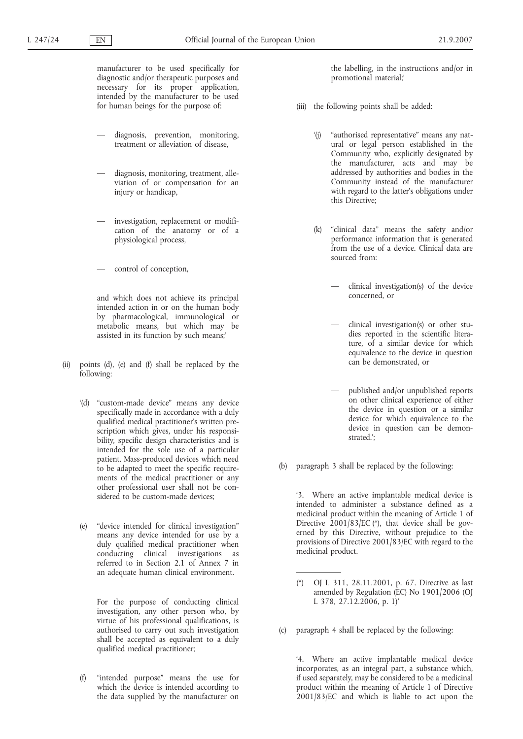manufacturer to be used specifically for diagnostic and/or therapeutic purposes and necessary for its proper application, intended by the manufacturer to be used for human beings for the purpose of:

- diagnosis, prevention, monitoring, treatment or alleviation of disease,
- diagnosis, monitoring, treatment, alleviation of or compensation for an injury or handicap,
- investigation, replacement or modification of the anatomy or of a physiological process,
- control of conception,

and which does not achieve its principal intended action in or on the human body by pharmacological, immunological or metabolic means, but which may be assisted in its function by such means;'

- (ii) points (d), (e) and (f) shall be replaced by the following:
	- '(d) "custom-made device" means any device specifically made in accordance with a duly qualified medical practitioner's written prescription which gives, under his responsibility, specific design characteristics and is intended for the sole use of a particular patient. Mass-produced devices which need to be adapted to meet the specific requirements of the medical practitioner or any other professional user shall not be considered to be custom-made devices;
	- (e) "device intended for clinical investigation" means any device intended for use by a duly qualified medical practitioner when conducting clinical investigations as referred to in Section 2.1 of Annex 7 in an adequate human clinical environment.

For the purpose of conducting clinical investigation, any other person who, by virtue of his professional qualifications, is authorised to carry out such investigation shall be accepted as equivalent to a duly qualified medical practitioner;

(f) "intended purpose" means the use for which the device is intended according to the data supplied by the manufacturer on the labelling, in the instructions and/or in promotional material;'

- (iii) the following points shall be added:
	- '(j) "authorised representative" means any natural or legal person established in the Community who, explicitly designated by the manufacturer, acts and may be addressed by authorities and bodies in the Community instead of the manufacturer with regard to the latter's obligations under this Directive;
	- (k) "clinical data" means the safety and/or performance information that is generated from the use of a device. Clinical data are sourced from:
		- clinical investigation(s) of the device concerned, or
		- clinical investigation(s) or other studies reported in the scientific literature, of a similar device for which equivalence to the device in question can be demonstrated, or
		- published and/or unpublished reports on other clinical experience of either the device in question or a similar device for which equivalence to the device in question can be demonstrated.';
- (b) paragraph 3 shall be replaced by the following:

'3. Where an active implantable medical device is intended to administer a substance defined as a medicinal product within the meaning of Article 1 of Directive  $2001/83/EC$  (\*), that device shall be governed by this Directive, without prejudice to the provisions of Directive 2001/83/EC with regard to the medicinal product.

- (\*) OJ L 311, 28.11.2001, p. 67. Directive as last amended by Regulation (EC) No 1901/2006 (OJ L 378, 27.12.2006, p. 1)'
- (c) paragraph 4 shall be replaced by the following:

'4. Where an active implantable medical device incorporates, as an integral part, a substance which, if used separately, may be considered to be a medicinal product within the meaning of Article 1 of Directive 2001/83/EC and which is liable to act upon the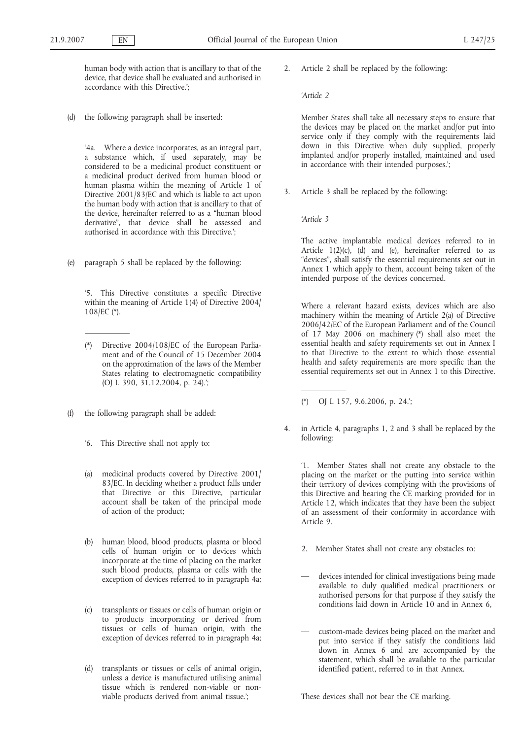human body with action that is ancillary to that of the device, that device shall be evaluated and authorised in accordance with this Directive.';

(d) the following paragraph shall be inserted:

'4a. Where a device incorporates, as an integral part, a substance which, if used separately, may be considered to be a medicinal product constituent or a medicinal product derived from human blood or human plasma within the meaning of Article 1 of Directive 2001/83/EC and which is liable to act upon the human body with action that is ancillary to that of the device, hereinafter referred to as a "human blood derivative", that device shall be assessed and authorised in accordance with this Directive.';

(e) paragraph 5 shall be replaced by the following:

'5. This Directive constitutes a specific Directive within the meaning of Article 1(4) of Directive 2004/ 108/EC (\*).

- the following paragraph shall be added:
	- '6. This Directive shall not apply to:
	- (a) medicinal products covered by Directive 2001/ 83/EC. In deciding whether a product falls under that Directive or this Directive, particular account shall be taken of the principal mode of action of the product;
	- (b) human blood, blood products, plasma or blood cells of human origin or to devices which incorporate at the time of placing on the market such blood products, plasma or cells with the exception of devices referred to in paragraph 4a;
	- (c) transplants or tissues or cells of human origin or to products incorporating or derived from tissues or cells of human origin, with the exception of devices referred to in paragraph 4a;
	- (d) transplants or tissues or cells of animal origin, unless a device is manufactured utilising animal tissue which is rendered non-viable or nonviable products derived from animal tissue.';

2. Article 2 shall be replaced by the following:

*'Article 2*

Member States shall take all necessary steps to ensure that the devices may be placed on the market and/or put into service only if they comply with the requirements laid down in this Directive when duly supplied, properly implanted and/or properly installed, maintained and used in accordance with their intended purposes.';

3. Article 3 shall be replaced by the following:

*'Article 3*

The active implantable medical devices referred to in Article  $1(2)(c)$ , (d) and (e), hereinafter referred to as "devices", shall satisfy the essential requirements set out in Annex 1 which apply to them, account being taken of the intended purpose of the devices concerned.

Where a relevant hazard exists, devices which are also machinery within the meaning of Article 2(a) of Directive 2006/42/EC of the European Parliament and of the Council of 17 May 2006 on machinery (\*) shall also meet the essential health and safety requirements set out in Annex I to that Directive to the extent to which those essential health and safety requirements are more specific than the essential requirements set out in Annex 1 to this Directive.

4. in Article 4, paragraphs 1, 2 and 3 shall be replaced by the following:

'1. Member States shall not create any obstacle to the placing on the market or the putting into service within their territory of devices complying with the provisions of this Directive and bearing the CE marking provided for in Article 12, which indicates that they have been the subject of an assessment of their conformity in accordance with Article 9.

- 2. Member States shall not create any obstacles to:
- devices intended for clinical investigations being made available to duly qualified medical practitioners or authorised persons for that purpose if they satisfy the conditions laid down in Article 10 and in Annex 6,
- custom-made devices being placed on the market and put into service if they satisfy the conditions laid down in Annex 6 and are accompanied by the statement, which shall be available to the particular identified patient, referred to in that Annex.

These devices shall not bear the CE marking.

<sup>(\*)</sup> Directive 2004/108/EC of the European Parliament and of the Council of 15 December 2004 on the approximation of the laws of the Member States relating to electromagnetic compatibility (OJ L 390, 31.12.2004, p. 24).';

<sup>(\*)</sup> OJ L 157, 9.6.2006, p. 24.';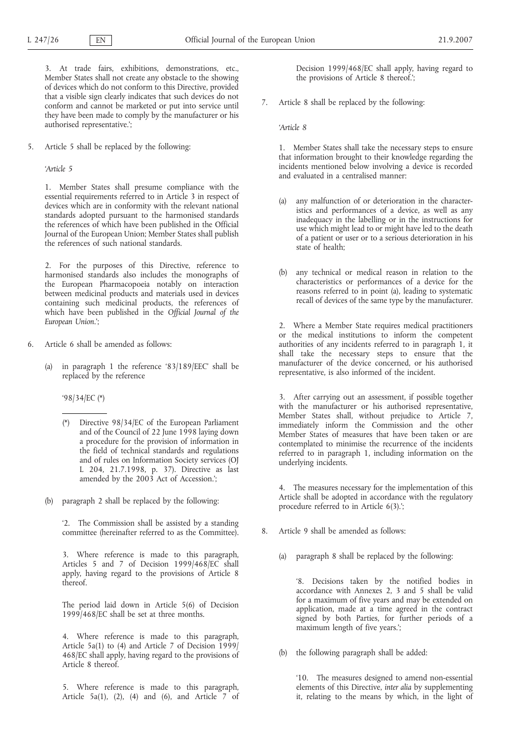3. At trade fairs, exhibitions, demonstrations, etc., Member States shall not create any obstacle to the showing of devices which do not conform to this Directive, provided that a visible sign clearly indicates that such devices do not conform and cannot be marketed or put into service until they have been made to comply by the manufacturer or his authorised representative.';

5. Article 5 shall be replaced by the following:

*'Article 5*

1. Member States shall presume compliance with the essential requirements referred to in Article 3 in respect of devices which are in conformity with the relevant national standards adopted pursuant to the harmonised standards the references of which have been published in the Official Journal of the European Union; Member States shall publish the references of such national standards.

2. For the purposes of this Directive, reference to harmonised standards also includes the monographs of the European Pharmacopoeia notably on interaction between medicinal products and materials used in devices containing such medicinal products, the references of which have been published in the *Official Journal of the European Union*.';

- 6. Article 6 shall be amended as follows:
	- (a) in paragraph 1 the reference '83/189/EEC' shall be replaced by the reference

'98/34/EC (\*)

- (\*) Directive 98/34/EC of the European Parliament and of the Council of 22 June 1998 laying down a procedure for the provision of information in the field of technical standards and regulations and of rules on Information Society services (OJ L 204, 21.7.1998, p. 37). Directive as last amended by the 2003 Act of Accession.';
- (b) paragraph 2 shall be replaced by the following:

'2. The Commission shall be assisted by a standing committee (hereinafter referred to as the Committee).

3. Where reference is made to this paragraph, Articles 5 and 7 of Decision 1999/468/EC shall apply, having regard to the provisions of Article 8 thereof.

The period laid down in Article 5(6) of Decision 1999/468/EC shall be set at three months.

4. Where reference is made to this paragraph, Article 5a(1) to (4) and Article 7 of Decision 1999/ 468/EC shall apply, having regard to the provisions of Article 8 thereof.

5. Where reference is made to this paragraph, Article 5a(1), (2), (4) and (6), and Article  $\overline{7}$  of Decision 1999/468/EC shall apply, having regard to the provisions of Article 8 thereof.';

7. Article 8 shall be replaced by the following:

*'Article 8*

1. Member States shall take the necessary steps to ensure that information brought to their knowledge regarding the incidents mentioned below involving a device is recorded and evaluated in a centralised manner:

- (a) any malfunction of or deterioration in the characteristics and performances of a device, as well as any inadequacy in the labelling or in the instructions for use which might lead to or might have led to the death of a patient or user or to a serious deterioration in his state of health:
- (b) any technical or medical reason in relation to the characteristics or performances of a device for the reasons referred to in point (a), leading to systematic recall of devices of the same type by the manufacturer.

2. Where a Member State requires medical practitioners or the medical institutions to inform the competent authorities of any incidents referred to in paragraph 1, it shall take the necessary steps to ensure that the manufacturer of the device concerned, or his authorised representative, is also informed of the incident.

3. After carrying out an assessment, if possible together with the manufacturer or his authorised representative, Member States shall, without prejudice to Article 7, immediately inform the Commission and the other Member States of measures that have been taken or are contemplated to minimise the recurrence of the incidents referred to in paragraph 1, including information on the underlying incidents.

4. The measures necessary for the implementation of this Article shall be adopted in accordance with the regulatory procedure referred to in Article 6(3).';

- 8. Article 9 shall be amended as follows:
	- (a) paragraph 8 shall be replaced by the following:

'8. Decisions taken by the notified bodies in accordance with Annexes 2, 3 and 5 shall be valid for a maximum of five years and may be extended on application, made at a time agreed in the contract signed by both Parties, for further periods of a maximum length of five years.';

(b) the following paragraph shall be added:

'10. The measures designed to amend non-essential elements of this Directive, *inter alia* by supplementing it, relating to the means by which, in the light of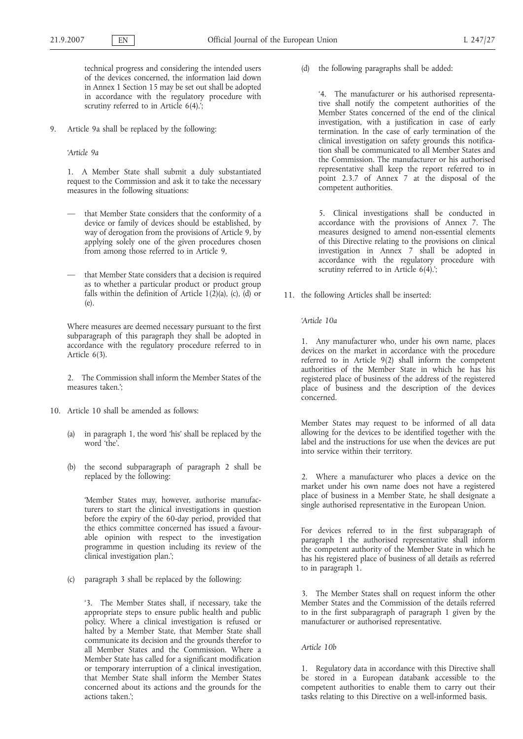technical progress and considering the intended users of the devices concerned, the information laid down in Annex 1 Section 15 may be set out shall be adopted in accordance with the regulatory procedure with scrutiny referred to in Article 6(4).';

9. Article 9a shall be replaced by the following:

*'Article 9a*

1. A Member State shall submit a duly substantiated request to the Commission and ask it to take the necessary measures in the following situations:

- that Member State considers that the conformity of a device or family of devices should be established, by way of derogation from the provisions of Article 9, by applying solely one of the given procedures chosen from among those referred to in Article 9,
- that Member State considers that a decision is required as to whether a particular product or product group falls within the definition of Article 1(2)(a), (c), (d) or (e).

Where measures are deemed necessary pursuant to the first subparagraph of this paragraph they shall be adopted in accordance with the regulatory procedure referred to in Article 6(3).

2. The Commission shall inform the Member States of the measures taken.';

- 10. Article 10 shall be amended as follows:
	- (a) in paragraph 1, the word 'his' shall be replaced by the word 'the'.
	- (b) the second subparagraph of paragraph 2 shall be replaced by the following:

'Member States may, however, authorise manufacturers to start the clinical investigations in question before the expiry of the 60-day period, provided that the ethics committee concerned has issued a favourable opinion with respect to the investigation programme in question including its review of the clinical investigation plan.';

(c) paragraph 3 shall be replaced by the following:

'3. The Member States shall, if necessary, take the appropriate steps to ensure public health and public policy. Where a clinical investigation is refused or halted by a Member State, that Member State shall communicate its decision and the grounds therefor to all Member States and the Commission. Where a Member State has called for a significant modification or temporary interruption of a clinical investigation, that Member State shall inform the Member States concerned about its actions and the grounds for the actions taken.';

(d) the following paragraphs shall be added:

'4. The manufacturer or his authorised representative shall notify the competent authorities of the Member States concerned of the end of the clinical investigation, with a justification in case of early termination. In the case of early termination of the clinical investigation on safety grounds this notification shall be communicated to all Member States and the Commission. The manufacturer or his authorised representative shall keep the report referred to in point 2.3.7 of Annex 7 at the disposal of the competent authorities.

5. Clinical investigations shall be conducted in accordance with the provisions of Annex 7. The measures designed to amend non-essential elements of this Directive relating to the provisions on clinical investigation in Annex 7 shall be adopted in accordance with the regulatory procedure with scrutiny referred to in Article 6(4).';

11. the following Articles shall be inserted:

### *'Article 10a*

1. Any manufacturer who, under his own name, places devices on the market in accordance with the procedure referred to in Article 9(2) shall inform the competent authorities of the Member State in which he has his registered place of business of the address of the registered place of business and the description of the devices concerned.

Member States may request to be informed of all data allowing for the devices to be identified together with the label and the instructions for use when the devices are put into service within their territory.

2. Where a manufacturer who places a device on the market under his own name does not have a registered place of business in a Member State, he shall designate a single authorised representative in the European Union.

For devices referred to in the first subparagraph of paragraph 1 the authorised representative shall inform the competent authority of the Member State in which he has his registered place of business of all details as referred to in paragraph 1.

3. The Member States shall on request inform the other Member States and the Commission of the details referred to in the first subparagraph of paragraph 1 given by the manufacturer or authorised representative.

*Article 10b*

1. Regulatory data in accordance with this Directive shall be stored in a European databank accessible to the competent authorities to enable them to carry out their tasks relating to this Directive on a well-informed basis.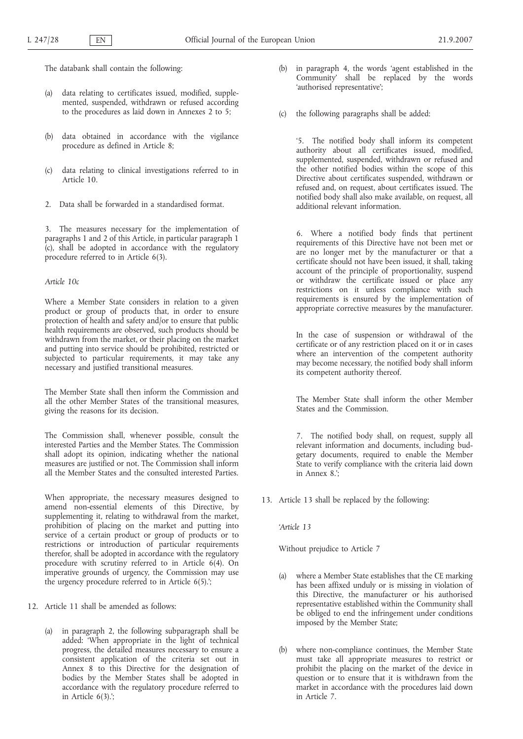The databank shall contain the following:

- (a) data relating to certificates issued, modified, supplemented, suspended, withdrawn or refused according to the procedures as laid down in Annexes 2 to 5;
- (b) data obtained in accordance with the vigilance procedure as defined in Article 8;
- (c) data relating to clinical investigations referred to in Article 10.
- 2. Data shall be forwarded in a standardised format.

3. The measures necessary for the implementation of paragraphs 1 and 2 of this Article, in particular paragraph 1 (c), shall be adopted in accordance with the regulatory procedure referred to in Article 6(3).

### *Article 10c*

Where a Member State considers in relation to a given product or group of products that, in order to ensure protection of health and safety and/or to ensure that public health requirements are observed, such products should be withdrawn from the market, or their placing on the market and putting into service should be prohibited, restricted or subjected to particular requirements, it may take any necessary and justified transitional measures.

The Member State shall then inform the Commission and all the other Member States of the transitional measures, giving the reasons for its decision.

The Commission shall, whenever possible, consult the interested Parties and the Member States. The Commission shall adopt its opinion, indicating whether the national measures are justified or not. The Commission shall inform all the Member States and the consulted interested Parties.

When appropriate, the necessary measures designed to amend non-essential elements of this Directive, by supplementing it, relating to withdrawal from the market, prohibition of placing on the market and putting into service of a certain product or group of products or to restrictions or introduction of particular requirements therefor, shall be adopted in accordance with the regulatory procedure with scrutiny referred to in Article 6(4). On imperative grounds of urgency, the Commission may use the urgency procedure referred to in Article 6(5).';

- 12. Article 11 shall be amended as follows:
	- (a) in paragraph 2, the following subparagraph shall be added: 'When appropriate in the light of technical progress, the detailed measures necessary to ensure a consistent application of the criteria set out in Annex 8 to this Directive for the designation of bodies by the Member States shall be adopted in accordance with the regulatory procedure referred to in Article 6(3).';
- (b) in paragraph 4, the words 'agent established in the Community' shall be replaced by the words 'authorised representative';
- (c) the following paragraphs shall be added:

'5. The notified body shall inform its competent authority about all certificates issued, modified, supplemented, suspended, withdrawn or refused and the other notified bodies within the scope of this Directive about certificates suspended, withdrawn or refused and, on request, about certificates issued. The notified body shall also make available, on request, all additional relevant information.

6. Where a notified body finds that pertinent requirements of this Directive have not been met or are no longer met by the manufacturer or that a certificate should not have been issued, it shall, taking account of the principle of proportionality, suspend or withdraw the certificate issued or place any restrictions on it unless compliance with such requirements is ensured by the implementation of appropriate corrective measures by the manufacturer.

In the case of suspension or withdrawal of the certificate or of any restriction placed on it or in cases where an intervention of the competent authority may become necessary, the notified body shall inform its competent authority thereof.

The Member State shall inform the other Member States and the Commission.

7. The notified body shall, on request, supply all relevant information and documents, including budgetary documents, required to enable the Member State to verify compliance with the criteria laid down in Annex 8.';

13. Article 13 shall be replaced by the following:

*'Article 13*

Without prejudice to Article 7

- (a) where a Member State establishes that the CE marking has been affixed unduly or is missing in violation of this Directive, the manufacturer or his authorised representative established within the Community shall be obliged to end the infringement under conditions imposed by the Member State;
- (b) where non-compliance continues, the Member State must take all appropriate measures to restrict or prohibit the placing on the market of the device in question or to ensure that it is withdrawn from the market in accordance with the procedures laid down in Article 7.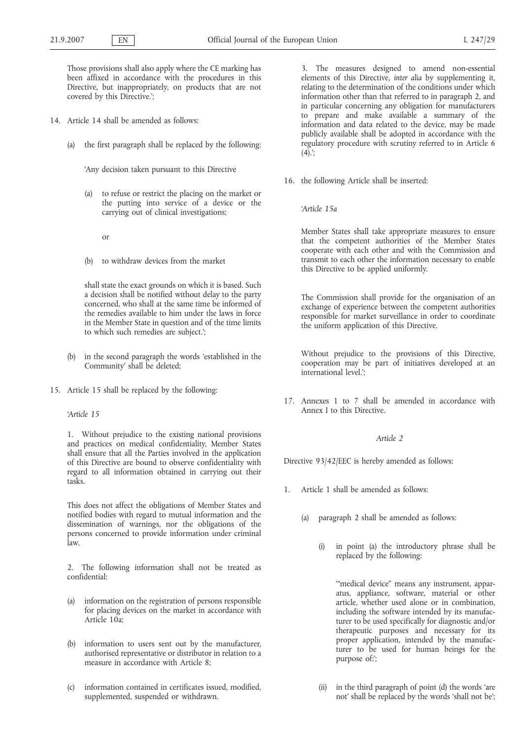Those provisions shall also apply where the CE marking has been affixed in accordance with the procedures in this Directive, but inappropriately, on products that are not covered by this Directive.';

- 14. Article 14 shall be amended as follows:
	- (a) the first paragraph shall be replaced by the following:

'Any decision taken pursuant to this Directive

(a) to refuse or restrict the placing on the market or the putting into service of a device or the carrying out of clinical investigations;

or

(b) to withdraw devices from the market

shall state the exact grounds on which it is based. Such a decision shall be notified without delay to the party concerned, who shall at the same time be informed of the remedies available to him under the laws in force in the Member State in question and of the time limits to which such remedies are subject.';

- (b) in the second paragraph the words 'established in the Community' shall be deleted;
- 15. Article 15 shall be replaced by the following:

*'Article 15*

1. Without prejudice to the existing national provisions and practices on medical confidentiality, Member States shall ensure that all the Parties involved in the application of this Directive are bound to observe confidentiality with regard to all information obtained in carrying out their tasks.

This does not affect the obligations of Member States and notified bodies with regard to mutual information and the dissemination of warnings, nor the obligations of the persons concerned to provide information under criminal law.

2. The following information shall not be treated as confidential:

- (a) information on the registration of persons responsible for placing devices on the market in accordance with Article 10a;
- (b) information to users sent out by the manufacturer, authorised representative or distributor in relation to a measure in accordance with Article 8;
- (c) information contained in certificates issued, modified, supplemented, suspended or withdrawn.

3. The measures designed to amend non-essential elements of this Directive, *inter alia* by supplementing it, relating to the determination of the conditions under which information other than that referred to in paragraph 2, and in particular concerning any obligation for manufacturers to prepare and make available a summary of the information and data related to the device, may be made publicly available shall be adopted in accordance with the regulatory procedure with scrutiny referred to in Article 6  $(4)$ ...

16. the following Article shall be inserted:

*'Article 15a*

Member States shall take appropriate measures to ensure that the competent authorities of the Member States cooperate with each other and with the Commission and transmit to each other the information necessary to enable this Directive to be applied uniformly.

The Commission shall provide for the organisation of an exchange of experience between the competent authorities responsible for market surveillance in order to coordinate the uniform application of this Directive.

Without prejudice to the provisions of this Directive, cooperation may be part of initiatives developed at an international level.';

17. Annexes 1 to 7 shall be amended in accordance with Annex I to this Directive.

# *Article 2*

Directive 93/42/EEC is hereby amended as follows:

- 1. Article 1 shall be amended as follows:
	- (a) paragraph 2 shall be amended as follows:
		- (i) in point (a) the introductory phrase shall be replaced by the following:

'"medical device" means any instrument, apparatus, appliance, software, material or other article, whether used alone or in combination, including the software intended by its manufacturer to be used specifically for diagnostic and/or therapeutic purposes and necessary for its proper application, intended by the manufacturer to be used for human beings for the purpose of:';

(ii) in the third paragraph of point (d) the words 'are not' shall be replaced by the words 'shall not be';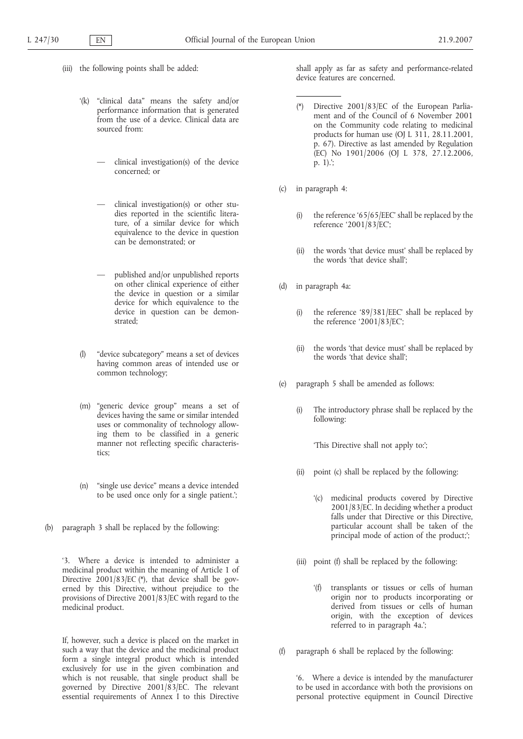- (iii) the following points shall be added:
	- '(k) "clinical data" means the safety and/or performance information that is generated from the use of a device. Clinical data are sourced from:
		- clinical investigation(s) of the device concerned; or
		- clinical investigation(s) or other studies reported in the scientific literature, of a similar device for which equivalence to the device in question can be demonstrated; or
		- published and/or unpublished reports on other clinical experience of either the device in question or a similar device for which equivalence to the device in question can be demonstrated;
	- (l) "device subcategory" means a set of devices having common areas of intended use or common technology;
	- (m) "generic device group" means a set of devices having the same or similar intended uses or commonality of technology allowing them to be classified in a generic manner not reflecting specific characteristics;
	- (n) "single use device" means a device intended to be used once only for a single patient.';
- (b) paragraph 3 shall be replaced by the following:

'3. Where a device is intended to administer a medicinal product within the meaning of Article 1 of Directive 2001/83/EC (\*), that device shall be governed by this Directive, without prejudice to the provisions of Directive 2001/83/EC with regard to the medicinal product.

If, however, such a device is placed on the market in such a way that the device and the medicinal product form a single integral product which is intended exclusively for use in the given combination and which is not reusable, that single product shall be governed by Directive 2001/83/EC. The relevant essential requirements of Annex I to this Directive shall apply as far as safety and performance-related device features are concerned.

- (\*) Directive 2001/83/EC of the European Parliament and of the Council of 6 November 2001 on the Community code relating to medicinal products for human use (OJ L 311, 28.11.2001, p. 67). Directive as last amended by Regulation (EC) No 1901/2006 (OJ L 378, 27.12.2006, p. 1).';
- (c) in paragraph 4:
	- (i) the reference '65/65/EEC' shall be replaced by the reference '2001/83/EC';
	- (ii) the words 'that device must' shall be replaced by the words 'that device shall';
- (d) in paragraph 4a:
	- (i) the reference '89/381/EEC' shall be replaced by the reference '2001/83/EC';
	- (ii) the words 'that device must' shall be replaced by the words 'that device shall';
- (e) paragraph 5 shall be amended as follows:
	- (i) The introductory phrase shall be replaced by the following:

'This Directive shall not apply to:';

- (ii) point (c) shall be replaced by the following:
	- '(c) medicinal products covered by Directive 2001/83/EC. In deciding whether a product falls under that Directive or this Directive, particular account shall be taken of the principal mode of action of the product;';
- (iii) point (f) shall be replaced by the following:
	- '(f) transplants or tissues or cells of human origin nor to products incorporating or derived from tissues or cells of human origin, with the exception of devices referred to in paragraph 4a.';
- (f) paragraph 6 shall be replaced by the following:

'6. Where a device is intended by the manufacturer to be used in accordance with both the provisions on personal protective equipment in Council Directive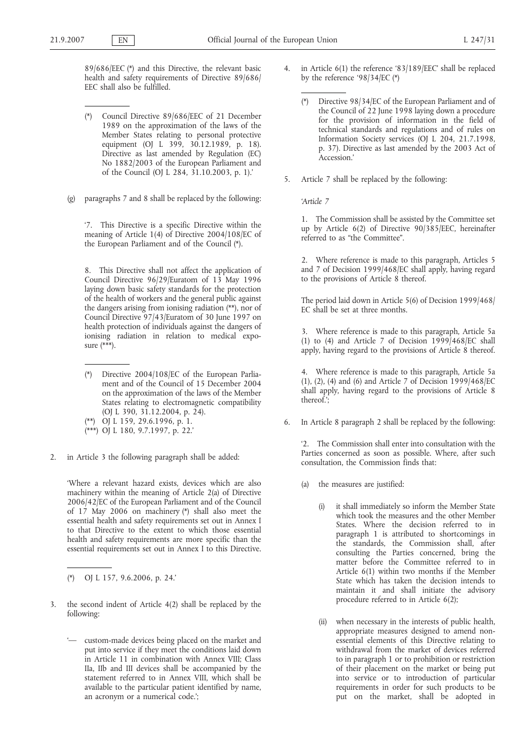89/686/EEC (\*) and this Directive, the relevant basic health and safety requirements of Directive 89/686/ EEC shall also be fulfilled.

(\*) Council Directive 89/686/EEC of 21 December 1989 on the approximation of the laws of the Member States relating to personal protective equipment (OJ L 399, 30.12.1989, p. 18). Directive as last amended by Regulation (EC) No 1882/2003 of the European Parliament and of the Council (OJ L 284, 31.10.2003, p. 1).'

(g) paragraphs 7 and 8 shall be replaced by the following:

'7. This Directive is a specific Directive within the meaning of Article 1(4) of Directive 2004/108/EC of the European Parliament and of the Council (\*).

8. This Directive shall not affect the application of Council Directive 96/29/Euratom of 13 May 1996 laying down basic safety standards for the protection of the health of workers and the general public against the dangers arising from ionising radiation (\*\*), nor of Council Directive 97/43/Euratom of 30 June 1997 on health protection of individuals against the dangers of ionising radiation in relation to medical exposure (\*\*\*).

- (\*) Directive 2004/108/EC of the European Parliament and of the Council of 15 December 2004 on the approximation of the laws of the Member States relating to electromagnetic compatibility (OJ L 390, 31.12.2004, p. 24).
- (\*\*) OJ L 159, 29.6.1996, p. 1.
- (\*\*\*) OJ L 180, 9.7.1997, p. 22.'
- 2. in Article 3 the following paragraph shall be added:

'Where a relevant hazard exists, devices which are also machinery within the meaning of Article 2(a) of Directive 2006/42/EC of the European Parliament and of the Council of 17 May 2006 on machinery (\*) shall also meet the essential health and safety requirements set out in Annex I to that Directive to the extent to which those essential health and safety requirements are more specific than the essential requirements set out in Annex I to this Directive.

- 3. the second indent of Article 4(2) shall be replaced by the following:
	- '— custom-made devices being placed on the market and put into service if they meet the conditions laid down in Article 11 in combination with Annex VIII; Class IIa, IIb and III devices shall be accompanied by the statement referred to in Annex VIII, which shall be available to the particular patient identified by name, an acronym or a numerical code.';
- in Article 6(1) the reference '83/189/EEC' shall be replaced by the reference '98/34/EC (\*)
	- (\*) Directive 98/34/EC of the European Parliament and of the Council of 22 June 1998 laying down a procedure for the provision of information in the field of technical standards and regulations and of rules on Information Society services (OJ L 204, 21.7.1998, p. 37). Directive as last amended by the 2003 Act of Accession.'
- 5. Article 7 shall be replaced by the following:

*'Article 7*

1. The Commission shall be assisted by the Committee set up by Article 6(2) of Directive 90/385/EEC, hereinafter referred to as "the Committee".

2. Where reference is made to this paragraph, Articles 5 and 7 of Decision 1999/468/EC shall apply, having regard to the provisions of Article 8 thereof.

The period laid down in Article 5(6) of Decision 1999/468/ EC shall be set at three months.

3. Where reference is made to this paragraph, Article 5a (1) to (4) and Article 7 of Decision 1999/468/EC shall apply, having regard to the provisions of Article 8 thereof.

4. Where reference is made to this paragraph, Article 5a (1), (2), (4) and (6) and Article 7 of Decision 1999/468/EC shall apply, having regard to the provisions of Article 8 thereof.';

6. In Article 8 paragraph 2 shall be replaced by the following:

'2. The Commission shall enter into consultation with the Parties concerned as soon as possible. Where, after such consultation, the Commission finds that:

- (a) the measures are justified:
	- (i) it shall immediately so inform the Member State which took the measures and the other Member States. Where the decision referred to in paragraph 1 is attributed to shortcomings in the standards, the Commission shall, after consulting the Parties concerned, bring the matter before the Committee referred to in Article 6(1) within two months if the Member State which has taken the decision intends to maintain it and shall initiate the advisory procedure referred to in Article 6(2);
	- (ii) when necessary in the interests of public health, appropriate measures designed to amend nonessential elements of this Directive relating to withdrawal from the market of devices referred to in paragraph 1 or to prohibition or restriction of their placement on the market or being put into service or to introduction of particular requirements in order for such products to be put on the market, shall be adopted in

<sup>(\*)</sup> OJ L 157, 9.6.2006, p. 24.'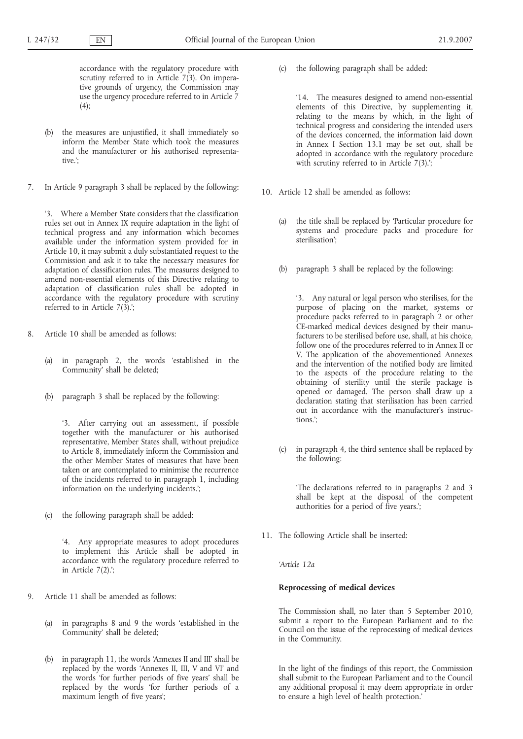accordance with the regulatory procedure with scrutiny referred to in Article  $7(3)$ . On imperative grounds of urgency, the Commission may use the urgency procedure referred to in Article 7  $(4)$ ;

- (b) the measures are unjustified, it shall immediately so inform the Member State which took the measures and the manufacturer or his authorised representative.';
- 7. In Article 9 paragraph 3 shall be replaced by the following:

'3. Where a Member State considers that the classification rules set out in Annex IX require adaptation in the light of technical progress and any information which becomes available under the information system provided for in Article 10, it may submit a duly substantiated request to the Commission and ask it to take the necessary measures for adaptation of classification rules. The measures designed to amend non-essential elements of this Directive relating to adaptation of classification rules shall be adopted in accordance with the regulatory procedure with scrutiny referred to in Article 7(3).';

- 8. Article 10 shall be amended as follows:
	- (a) in paragraph 2, the words 'established in the Community' shall be deleted;
	- (b) paragraph 3 shall be replaced by the following:

'3. After carrying out an assessment, if possible together with the manufacturer or his authorised representative, Member States shall, without prejudice to Article 8, immediately inform the Commission and the other Member States of measures that have been taken or are contemplated to minimise the recurrence of the incidents referred to in paragraph 1, including information on the underlying incidents.';

(c) the following paragraph shall be added:

'4. Any appropriate measures to adopt procedures to implement this Article shall be adopted in accordance with the regulatory procedure referred to in Article 7(2).';

- 9. Article 11 shall be amended as follows:
	- (a) in paragraphs 8 and 9 the words 'established in the Community' shall be deleted;
	- (b) in paragraph 11, the words 'Annexes II and III' shall be replaced by the words 'Annexes II, III, V and VI' and the words 'for further periods of five years' shall be replaced by the words 'for further periods of a maximum length of five years';

(c) the following paragraph shall be added:

'14. The measures designed to amend non-essential elements of this Directive, by supplementing it, relating to the means by which, in the light of technical progress and considering the intended users of the devices concerned, the information laid down in Annex I Section 13.1 may be set out, shall be adopted in accordance with the regulatory procedure with scrutiny referred to in Article 7(3).';

- 10. Article 12 shall be amended as follows:
	- (a) the title shall be replaced by 'Particular procedure for systems and procedure packs and procedure for sterilisation';
	- (b) paragraph 3 shall be replaced by the following:

'3. Any natural or legal person who sterilises, for the purpose of placing on the market, systems or procedure packs referred to in paragraph 2 or other CE-marked medical devices designed by their manufacturers to be sterilised before use, shall, at his choice, follow one of the procedures referred to in Annex II or V. The application of the abovementioned Annexes and the intervention of the notified body are limited to the aspects of the procedure relating to the obtaining of sterility until the sterile package is opened or damaged. The person shall draw up a declaration stating that sterilisation has been carried out in accordance with the manufacturer's instructions.';

(c) in paragraph 4, the third sentence shall be replaced by the following:

'The declarations referred to in paragraphs 2 and 3 shall be kept at the disposal of the competent authorities for a period of five years.';

11. The following Article shall be inserted:

*'Article 12a*

### **Reprocessing of medical devices**

The Commission shall, no later than 5 September 2010, submit a report to the European Parliament and to the Council on the issue of the reprocessing of medical devices in the Community.

In the light of the findings of this report, the Commission shall submit to the European Parliament and to the Council any additional proposal it may deem appropriate in order to ensure a high level of health protection.'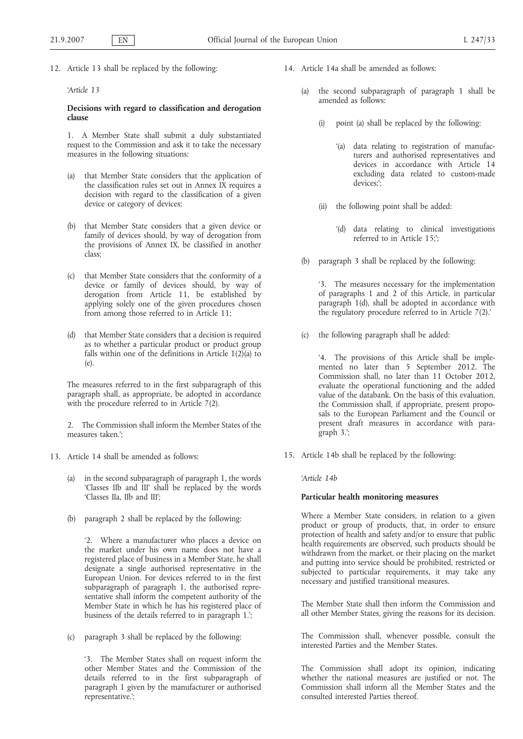12. Article 13 shall be replaced by the following:

### *'Article 13*

### **Decisions with regard to classification and derogation clause**

1. A Member State shall submit a duly substantiated request to the Commission and ask it to take the necessary measures in the following situations:

- (a) that Member State considers that the application of the classification rules set out in Annex IX requires a decision with regard to the classification of a given device or category of devices;
- (b) that Member State considers that a given device or family of devices should, by way of derogation from the provisions of Annex IX, be classified in another class;
- (c) that Member State considers that the conformity of a device or family of devices should, by way of derogation from Article 11, be established by applying solely one of the given procedures chosen from among those referred to in Article 11;
- (d) that Member State considers that a decision is required as to whether a particular product or product group falls within one of the definitions in Article  $1(2)(a)$  to (e).

The measures referred to in the first subparagraph of this paragraph shall, as appropriate, be adopted in accordance with the procedure referred to in Article 7(2).

2. The Commission shall inform the Member States of the measures taken.';

- 13. Article 14 shall be amended as follows:
	- (a) in the second subparagraph of paragraph 1, the words 'Classes IIb and III' shall be replaced by the words 'Classes IIa, IIb and III';
	- (b) paragraph 2 shall be replaced by the following:

'2. Where a manufacturer who places a device on the market under his own name does not have a registered place of business in a Member State, he shall designate a single authorised representative in the European Union. For devices referred to in the first subparagraph of paragraph 1, the authorised representative shall inform the competent authority of the Member State in which he has his registered place of business of the details referred to in paragraph 1.';

(c) paragraph 3 shall be replaced by the following:

'3. The Member States shall on request inform the other Member States and the Commission of the details referred to in the first subparagraph of paragraph 1 given by the manufacturer or authorised representative.';

- 14. Article 14a shall be amended as follows:
	- the second subparagraph of paragraph 1 shall be amended as follows:
		- (i) point (a) shall be replaced by the following:
			- '(a) data relating to registration of manufacturers and authorised representatives and devices in accordance with Article 14 excluding data related to custom-made devices;';
		- (ii) the following point shall be added:
			- '(d) data relating to clinical investigations referred to in Article 15;';
	- (b) paragraph 3 shall be replaced by the following:

'3. The measures necessary for the implementation of paragraphs 1 and 2 of this Article, in particular paragraph 1(d), shall be adopted in accordance with the regulatory procedure referred to in Article 7(2).'

(c) the following paragraph shall be added:

'4. The provisions of this Article shall be implemented no later than 5 September 2012. The Commission shall, no later than 11 October 2012, evaluate the operational functioning and the added value of the databank. On the basis of this evaluation, the Commission shall, if appropriate, present proposals to the European Parliament and the Council or present draft measures in accordance with paragraph 3.';

15. Article 14b shall be replaced by the following:

*'Article 14b*

### **Particular health monitoring measures**

Where a Member State considers, in relation to a given product or group of products, that, in order to ensure protection of health and safety and/or to ensure that public health requirements are observed, such products should be withdrawn from the market, or their placing on the market and putting into service should be prohibited, restricted or subjected to particular requirements, it may take any necessary and justified transitional measures.

The Member State shall then inform the Commission and all other Member States, giving the reasons for its decision.

The Commission shall, whenever possible, consult the interested Parties and the Member States.

The Commission shall adopt its opinion, indicating whether the national measures are justified or not. The Commission shall inform all the Member States and the consulted interested Parties thereof.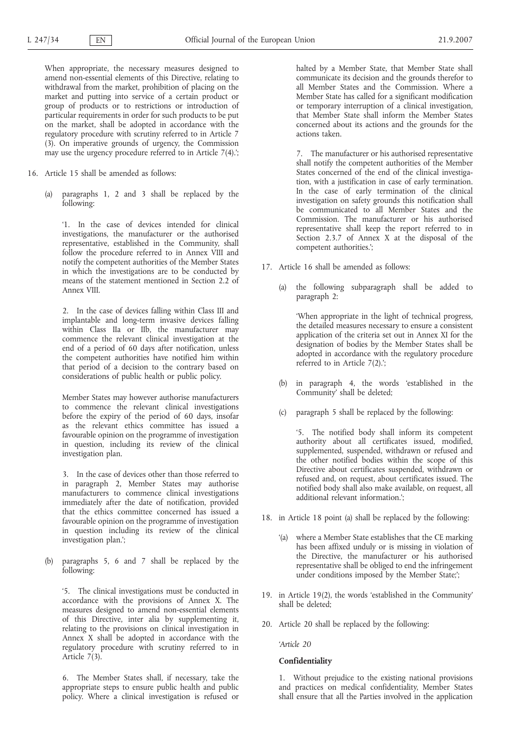When appropriate, the necessary measures designed to amend non-essential elements of this Directive, relating to withdrawal from the market, prohibition of placing on the market and putting into service of a certain product or group of products or to restrictions or introduction of particular requirements in order for such products to be put on the market, shall be adopted in accordance with the regulatory procedure with scrutiny referred to in Article 7 (3). On imperative grounds of urgency, the Commission may use the urgency procedure referred to in Article 7(4).';

- 16. Article 15 shall be amended as follows:
	- (a) paragraphs 1, 2 and 3 shall be replaced by the following:

'1. In the case of devices intended for clinical investigations, the manufacturer or the authorised representative, established in the Community, shall follow the procedure referred to in Annex VIII and notify the competent authorities of the Member States in which the investigations are to be conducted by means of the statement mentioned in Section 2.2 of Annex VIII.

2. In the case of devices falling within Class III and implantable and long-term invasive devices falling within Class IIa or IIb, the manufacturer may commence the relevant clinical investigation at the end of a period of 60 days after notification, unless the competent authorities have notified him within that period of a decision to the contrary based on considerations of public health or public policy.

Member States may however authorise manufacturers to commence the relevant clinical investigations before the expiry of the period of 60 days, insofar as the relevant ethics committee has issued a favourable opinion on the programme of investigation in question, including its review of the clinical investigation plan.

3. In the case of devices other than those referred to in paragraph 2, Member States may authorise manufacturers to commence clinical investigations immediately after the date of notification, provided that the ethics committee concerned has issued a favourable opinion on the programme of investigation in question including its review of the clinical investigation plan.';

(b) paragraphs 5, 6 and 7 shall be replaced by the following:

'5. The clinical investigations must be conducted in accordance with the provisions of Annex X. The measures designed to amend non-essential elements of this Directive, inter alia by supplementing it, relating to the provisions on clinical investigation in Annex X shall be adopted in accordance with the regulatory procedure with scrutiny referred to in Article  $7(3)$ .

6. The Member States shall, if necessary, take the appropriate steps to ensure public health and public policy. Where a clinical investigation is refused or halted by a Member State, that Member State shall communicate its decision and the grounds therefor to all Member States and the Commission. Where a Member State has called for a significant modification or temporary interruption of a clinical investigation, that Member State shall inform the Member States concerned about its actions and the grounds for the actions taken.

7. The manufacturer or his authorised representative shall notify the competent authorities of the Member States concerned of the end of the clinical investigation, with a justification in case of early termination. In the case of early termination of the clinical investigation on safety grounds this notification shall be communicated to all Member States and the Commission. The manufacturer or his authorised representative shall keep the report referred to in Section 2.3.7 of Annex X at the disposal of the competent authorities.';

- 17. Article 16 shall be amended as follows:
	- (a) the following subparagraph shall be added to paragraph 2:

'When appropriate in the light of technical progress, the detailed measures necessary to ensure a consistent application of the criteria set out in Annex XI for the designation of bodies by the Member States shall be adopted in accordance with the regulatory procedure referred to in Article 7(2).';

- (b) in paragraph 4, the words 'established in the Community' shall be deleted;
- (c) paragraph 5 shall be replaced by the following:

'5. The notified body shall inform its competent authority about all certificates issued, modified, supplemented, suspended, withdrawn or refused and the other notified bodies within the scope of this Directive about certificates suspended, withdrawn or refused and, on request, about certificates issued. The notified body shall also make available, on request, all additional relevant information.';

- 18. in Article 18 point (a) shall be replaced by the following:
	- '(a) where a Member State establishes that the CE marking has been affixed unduly or is missing in violation of the Directive, the manufacturer or his authorised representative shall be obliged to end the infringement under conditions imposed by the Member State;';
- 19. in Article 19(2), the words 'established in the Community' shall be deleted;
- 20. Article 20 shall be replaced by the following:

*'Article 20*

# **Confidentiality**

1. Without prejudice to the existing national provisions and practices on medical confidentiality, Member States shall ensure that all the Parties involved in the application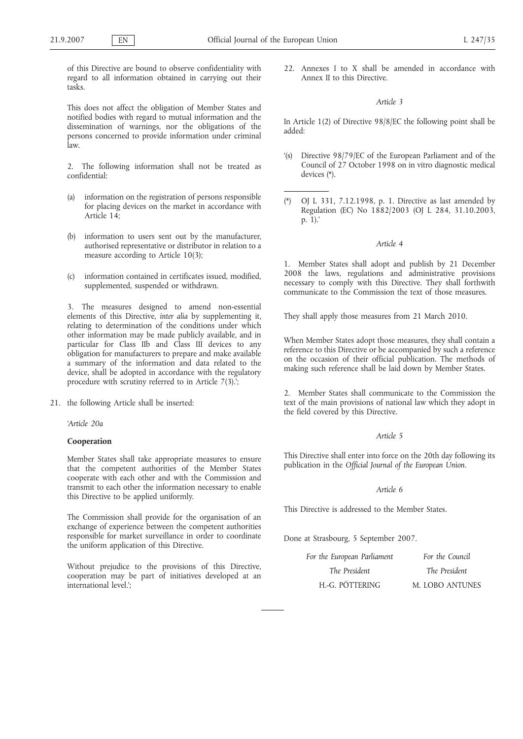of this Directive are bound to observe confidentiality with regard to all information obtained in carrying out their tasks.

This does not affect the obligation of Member States and notified bodies with regard to mutual information and the dissemination of warnings, nor the obligations of the persons concerned to provide information under criminal law.

2. The following information shall not be treated as confidential:

- (a) information on the registration of persons responsible for placing devices on the market in accordance with Article 14;
- (b) information to users sent out by the manufacturer, authorised representative or distributor in relation to a measure according to Article 10(3);
- (c) information contained in certificates issued, modified, supplemented, suspended or withdrawn.

3. The measures designed to amend non-essential elements of this Directive, *inter alia* by supplementing it, relating to determination of the conditions under which other information may be made publicly available, and in particular for Class IIb and Class III devices to any obligation for manufacturers to prepare and make available a summary of the information and data related to the device, shall be adopted in accordance with the regulatory procedure with scrutiny referred to in Article 7(3).';

21. the following Article shall be inserted:

*'Article 20a*

### **Cooperation**

Member States shall take appropriate measures to ensure that the competent authorities of the Member States cooperate with each other and with the Commission and transmit to each other the information necessary to enable this Directive to be applied uniformly.

The Commission shall provide for the organisation of an exchange of experience between the competent authorities responsible for market surveillance in order to coordinate the uniform application of this Directive.

Without prejudice to the provisions of this Directive, cooperation may be part of initiatives developed at an international level.';

22. Annexes I to X shall be amended in accordance with Annex II to this Directive.

# *Article 3*

In Article 1(2) of Directive 98/8/EC the following point shall be added:

- '(s) Directive 98/79/EC of the European Parliament and of the Council of 27 October 1998 on in vitro diagnostic medical devices (\*).
- (\*) OJ L 331, 7.12.1998, p. 1. Directive as last amended by Regulation (EC) No 1882/2003 (OJ L 284, 31.10.2003, p. 1).'

# *Article 4*

1. Member States shall adopt and publish by 21 December 2008 the laws, regulations and administrative provisions necessary to comply with this Directive. They shall forthwith communicate to the Commission the text of those measures.

They shall apply those measures from 21 March 2010.

When Member States adopt those measures, they shall contain a reference to this Directive or be accompanied by such a reference on the occasion of their official publication. The methods of making such reference shall be laid down by Member States.

2. Member States shall communicate to the Commission the text of the main provisions of national law which they adopt in the field covered by this Directive.

### *Article 5*

This Directive shall enter into force on the 20th day following its publication in the *Official Journal of the European Union*.

# *Article 6*

This Directive is addressed to the Member States.

Done at Strasbourg, 5 September 2007.

| For the European Parliament | For the Council |
|-----------------------------|-----------------|
| The President               | The President   |
| H.-G. PÖTTERING             | M. LOBO ANTUNES |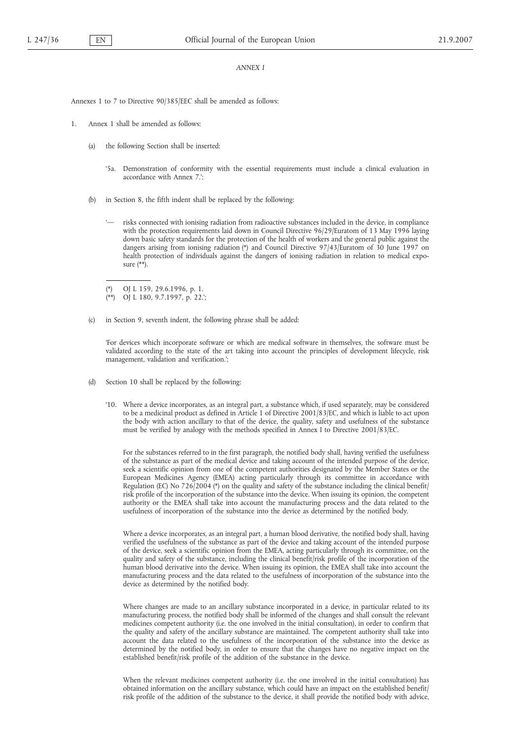#### *ANNEX I*

Annexes 1 to 7 to Directive 90/385/EEC shall be amended as follows:

- 1. Annex 1 shall be amended as follows:
	- (a) the following Section shall be inserted:
		- '5a. Demonstration of conformity with the essential requirements must include a clinical evaluation in accordance with Annex 7.';
	- (b) in Section 8, the fifth indent shall be replaced by the following:
		- risks connected with ionising radiation from radioactive substances included in the device, in compliance with the protection requirements laid down in Council Directive 96/29/Euratom of 13 May 1996 laying down basic safety standards for the protection of the health of workers and the general public against the dangers arising from ionising radiation (\*) and Council Directive 97/43/Euratom of 30 June 1997 on health protection of individuals against the dangers of ionising radiation in relation to medical exposure (\*\*).
		- (\*) OJ L 159, 29.6.1996, p. 1.

(c) in Section 9, seventh indent, the following phrase shall be added:

'For devices which incorporate software or which are medical software in themselves, the software must be validated according to the state of the art taking into account the principles of development lifecycle, risk management, validation and verification.';

- (d) Section 10 shall be replaced by the following:
	- '10. Where a device incorporates, as an integral part, a substance which, if used separately, may be considered to be a medicinal product as defined in Article 1 of Directive 2001/83/EC, and which is liable to act upon the body with action ancillary to that of the device, the quality, safety and usefulness of the substance must be verified by analogy with the methods specified in Annex I to Directive 2001/83/EC.

For the substances referred to in the first paragraph, the notified body shall, having verified the usefulness of the substance as part of the medical device and taking account of the intended purpose of the device, seek a scientific opinion from one of the competent authorities designated by the Member States or the European Medicines Agency (EMEA) acting particularly through its committee in accordance with Regulation (EC) No 726/2004 (\*) on the quality and safety of the substance including the clinical benefit/ risk profile of the incorporation of the substance into the device. When issuing its opinion, the competent authority or the EMEA shall take into account the manufacturing process and the data related to the usefulness of incorporation of the substance into the device as determined by the notified body.

Where a device incorporates, as an integral part, a human blood derivative, the notified body shall, having verified the usefulness of the substance as part of the device and taking account of the intended purpose of the device, seek a scientific opinion from the EMEA, acting particularly through its committee, on the quality and safety of the substance, including the clinical benefit/risk profile of the incorporation of the human blood derivative into the device. When issuing its opinion, the EMEA shall take into account the manufacturing process and the data related to the usefulness of incorporation of the substance into the device as determined by the notified body.

Where changes are made to an ancillary substance incorporated in a device, in particular related to its manufacturing process, the notified body shall be informed of the changes and shall consult the relevant medicines competent authority (i.e. the one involved in the initial consultation), in order to confirm that the quality and safety of the ancillary substance are maintained. The competent authority shall take into account the data related to the usefulness of the incorporation of the substance into the device as determined by the notified body, in order to ensure that the changes have no negative impact on the established benefit/risk profile of the addition of the substance in the device.

When the relevant medicines competent authority (i.e. the one involved in the initial consultation) has obtained information on the ancillary substance, which could have an impact on the established benefit/ risk profile of the addition of the substance to the device, it shall provide the notified body with advice,

<sup>(\*\*)</sup> OJ L 180, 9.7.1997, p. 22.';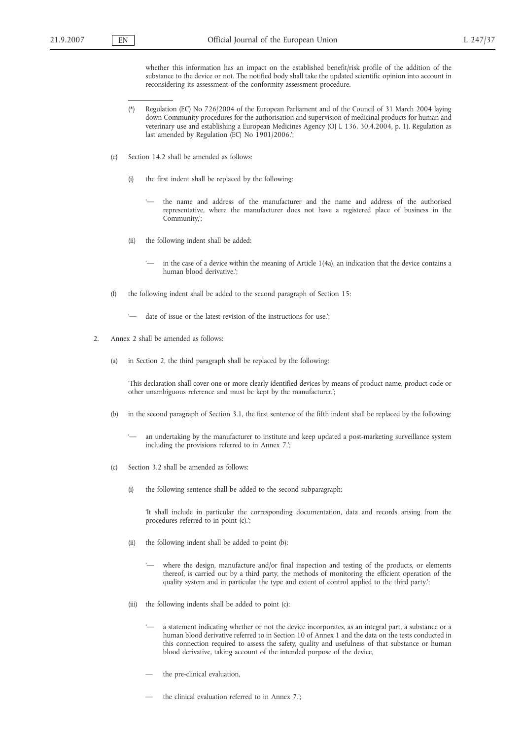whether this information has an impact on the established benefit/risk profile of the addition of the substance to the device or not. The notified body shall take the updated scientific opinion into account in reconsidering its assessment of the conformity assessment procedure.

- (\*) Regulation (EC) No 726/2004 of the European Parliament and of the Council of 31 March 2004 laying down Community procedures for the authorisation and supervision of medicinal products for human and veterinary use and establishing a European Medicines Agency (OJ L 136, 30.4.2004, p. 1). Regulation as last amended by Regulation (EC) No 1901/2006.';
- (e) Section 14.2 shall be amended as follows:
	- (i) the first indent shall be replaced by the following:
		- the name and address of the manufacturer and the name and address of the authorised representative, where the manufacturer does not have a registered place of business in the Community,';
	- (ii) the following indent shall be added:
		- in the case of a device within the meaning of Article 1(4a), an indication that the device contains a human blood derivative.';
- (f) the following indent shall be added to the second paragraph of Section 15:
	- date of issue or the latest revision of the instructions for use.':
- 2. Annex 2 shall be amended as follows:
	- (a) in Section 2, the third paragraph shall be replaced by the following:

'This declaration shall cover one or more clearly identified devices by means of product name, product code or other unambiguous reference and must be kept by the manufacturer.';

- (b) in the second paragraph of Section 3.1, the first sentence of the fifth indent shall be replaced by the following:
	- an undertaking by the manufacturer to institute and keep updated a post-marketing surveillance system including the provisions referred to in Annex 7.';
- (c) Section 3.2 shall be amended as follows:
	- (i) the following sentence shall be added to the second subparagraph:

'It shall include in particular the corresponding documentation, data and records arising from the procedures referred to in point (c).';

- (ii) the following indent shall be added to point (b):
	- where the design, manufacture and/or final inspection and testing of the products, or elements thereof, is carried out by a third party, the methods of monitoring the efficient operation of the quality system and in particular the type and extent of control applied to the third party.';
- (iii) the following indents shall be added to point (c):
	- a statement indicating whether or not the device incorporates, as an integral part, a substance or a human blood derivative referred to in Section 10 of Annex 1 and the data on the tests conducted in this connection required to assess the safety, quality and usefulness of that substance or human blood derivative, taking account of the intended purpose of the device,
	- the pre-clinical evaluation,
	- the clinical evaluation referred to in Annex 7.';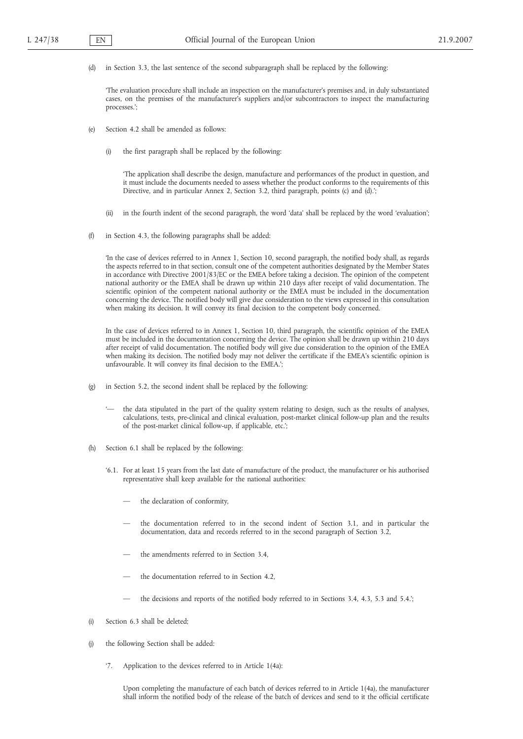(d) in Section 3.3, the last sentence of the second subparagraph shall be replaced by the following:

'The evaluation procedure shall include an inspection on the manufacturer's premises and, in duly substantiated cases, on the premises of the manufacturer's suppliers and/or subcontractors to inspect the manufacturing processes.';

- (e) Section 4.2 shall be amended as follows:
	- (i) the first paragraph shall be replaced by the following:

'The application shall describe the design, manufacture and performances of the product in question, and it must include the documents needed to assess whether the product conforms to the requirements of this Directive, and in particular Annex 2, Section 3.2, third paragraph, points (c) and (d).';

- (ii) in the fourth indent of the second paragraph, the word 'data' shall be replaced by the word 'evaluation';
- (f) in Section 4.3, the following paragraphs shall be added:

'In the case of devices referred to in Annex 1, Section 10, second paragraph, the notified body shall, as regards the aspects referred to in that section, consult one of the competent authorities designated by the Member States in accordance with Directive 2001/83/EC or the EMEA before taking a decision. The opinion of the competent national authority or the EMEA shall be drawn up within 210 days after receipt of valid documentation. The scientific opinion of the competent national authority or the EMEA must be included in the documentation concerning the device. The notified body will give due consideration to the views expressed in this consultation when making its decision. It will convey its final decision to the competent body concerned.

In the case of devices referred to in Annex 1, Section 10, third paragraph, the scientific opinion of the EMEA must be included in the documentation concerning the device. The opinion shall be drawn up within 210 days after receipt of valid documentation. The notified body will give due consideration to the opinion of the EMEA when making its decision. The notified body may not deliver the certificate if the EMEA's scientific opinion is unfavourable. It will convey its final decision to the EMEA.';

- (g) in Section 5.2, the second indent shall be replaced by the following:
	- the data stipulated in the part of the quality system relating to design, such as the results of analyses, calculations, tests, pre-clinical and clinical evaluation, post-market clinical follow-up plan and the results of the post-market clinical follow-up, if applicable, etc.';
- (h) Section 6.1 shall be replaced by the following:
	- '6.1. For at least 15 years from the last date of manufacture of the product, the manufacturer or his authorised representative shall keep available for the national authorities:
		- the declaration of conformity,
		- the documentation referred to in the second indent of Section 3.1, and in particular the documentation, data and records referred to in the second paragraph of Section 3.2,
		- the amendments referred to in Section 3.4,
		- the documentation referred to in Section 4.2,
		- the decisions and reports of the notified body referred to in Sections 3.4, 4.3, 5.3 and 5.4.';
- (i) Section 6.3 shall be deleted;
- (j) the following Section shall be added:
	- '7. Application to the devices referred to in Article 1(4a):

Upon completing the manufacture of each batch of devices referred to in Article 1(4a), the manufacturer shall inform the notified body of the release of the batch of devices and send to it the official certificate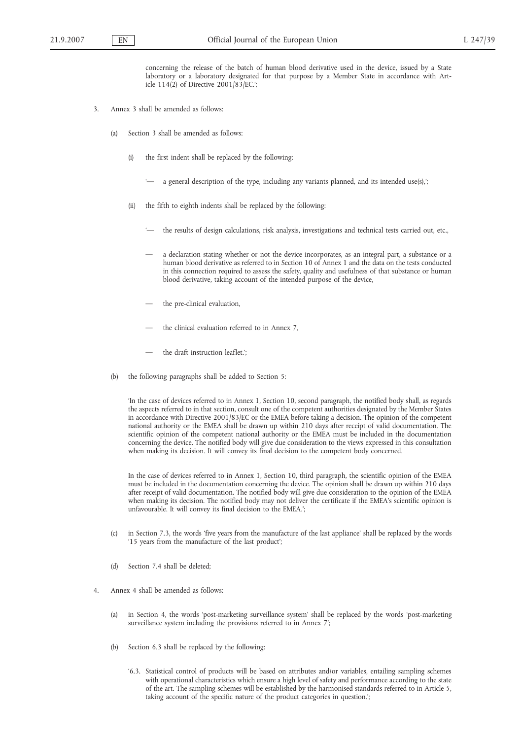concerning the release of the batch of human blood derivative used in the device, issued by a State laboratory or a laboratory designated for that purpose by a Member State in accordance with Article 114(2) of Directive 2001/83/EC.';

- 3. Annex 3 shall be amended as follows:
	- (a) Section 3 shall be amended as follows:
		- (i) the first indent shall be replaced by the following:
			- '— a general description of the type, including any variants planned, and its intended use(s),';
		- (ii) the fifth to eighth indents shall be replaced by the following:
			- '— the results of design calculations, risk analysis, investigations and technical tests carried out, etc.,
			- a declaration stating whether or not the device incorporates, as an integral part, a substance or a human blood derivative as referred to in Section 10 of Annex 1 and the data on the tests conducted in this connection required to assess the safety, quality and usefulness of that substance or human blood derivative, taking account of the intended purpose of the device,
			- the pre-clinical evaluation.
			- the clinical evaluation referred to in Annex 7.
			- the draft instruction leaflet.':
	- (b) the following paragraphs shall be added to Section 5:

'In the case of devices referred to in Annex 1, Section 10, second paragraph, the notified body shall, as regards the aspects referred to in that section, consult one of the competent authorities designated by the Member States in accordance with Directive 2001/83/EC or the EMEA before taking a decision. The opinion of the competent national authority or the EMEA shall be drawn up within 210 days after receipt of valid documentation. The scientific opinion of the competent national authority or the EMEA must be included in the documentation concerning the device. The notified body will give due consideration to the views expressed in this consultation when making its decision. It will convey its final decision to the competent body concerned.

In the case of devices referred to in Annex 1, Section 10, third paragraph, the scientific opinion of the EMEA must be included in the documentation concerning the device. The opinion shall be drawn up within 210 days after receipt of valid documentation. The notified body will give due consideration to the opinion of the EMEA when making its decision. The notified body may not deliver the certificate if the EMEA's scientific opinion is unfavourable. It will convey its final decision to the EMEA.';

- (c) in Section 7.3, the words 'five years from the manufacture of the last appliance' shall be replaced by the words '15 years from the manufacture of the last product';
- (d) Section 7.4 shall be deleted;
- 4. Annex 4 shall be amended as follows:
	- (a) in Section 4, the words 'post-marketing surveillance system' shall be replaced by the words 'post-marketing surveillance system including the provisions referred to in Annex 7';
	- (b) Section 6.3 shall be replaced by the following:
		- '6.3. Statistical control of products will be based on attributes and/or variables, entailing sampling schemes with operational characteristics which ensure a high level of safety and performance according to the state of the art. The sampling schemes will be established by the harmonised standards referred to in Article 5, taking account of the specific nature of the product categories in question.';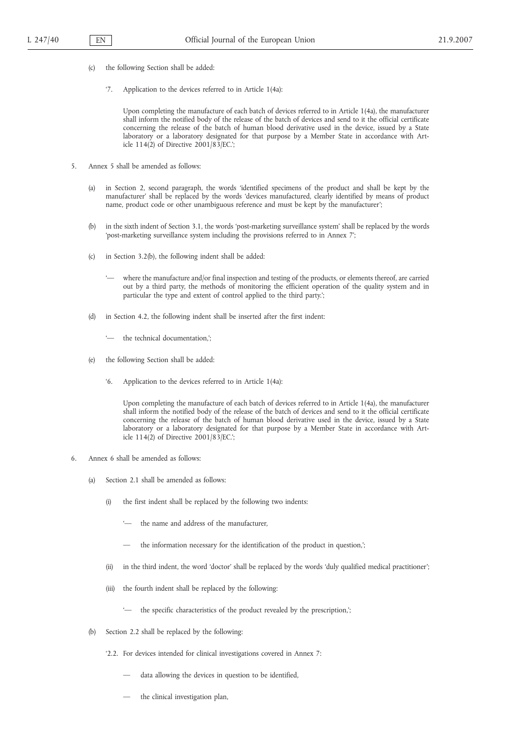- (c) the following Section shall be added:
	- '7. Application to the devices referred to in Article 1(4a):

Upon completing the manufacture of each batch of devices referred to in Article 1(4a), the manufacturer shall inform the notified body of the release of the batch of devices and send to it the official certificate concerning the release of the batch of human blood derivative used in the device, issued by a State laboratory or a laboratory designated for that purpose by a Member State in accordance with Article 114(2) of Directive 2001/83/EC.';

- 5. Annex 5 shall be amended as follows:
	- (a) in Section 2, second paragraph, the words 'identified specimens of the product and shall be kept by the manufacturer' shall be replaced by the words 'devices manufactured, clearly identified by means of product name, product code or other unambiguous reference and must be kept by the manufacturer';
	- (b) in the sixth indent of Section 3.1, the words 'post-marketing surveillance system' shall be replaced by the words 'post-marketing surveillance system including the provisions referred to in Annex 7';
	- (c) in Section 3.2(b), the following indent shall be added:
		- where the manufacture and/or final inspection and testing of the products, or elements thereof, are carried out by a third party, the methods of monitoring the efficient operation of the quality system and in particular the type and extent of control applied to the third party.';
	- (d) in Section 4.2, the following indent shall be inserted after the first indent:
		- '— the technical documentation's
	- (e) the following Section shall be added:
		- '6. Application to the devices referred to in Article 1(4a):

Upon completing the manufacture of each batch of devices referred to in Article 1(4a), the manufacturer shall inform the notified body of the release of the batch of devices and send to it the official certificate concerning the release of the batch of human blood derivative used in the device, issued by a State laboratory or a laboratory designated for that purpose by a Member State in accordance with Article 114(2) of Directive 2001/83/EC.';

- 6. Annex 6 shall be amended as follows:
	- (a) Section 2.1 shall be amended as follows:
		- (i) the first indent shall be replaced by the following two indents:
			- '— the name and address of the manufacturer,
			- the information necessary for the identification of the product in question,';
		- (ii) in the third indent, the word 'doctor' shall be replaced by the words 'duly qualified medical practitioner';
		- (iii) the fourth indent shall be replaced by the following:
			- '— the specific characteristics of the product revealed by the prescription,';
	- (b) Section 2.2 shall be replaced by the following:
		- '2.2. For devices intended for clinical investigations covered in Annex 7:
			- data allowing the devices in question to be identified,
			- the clinical investigation plan,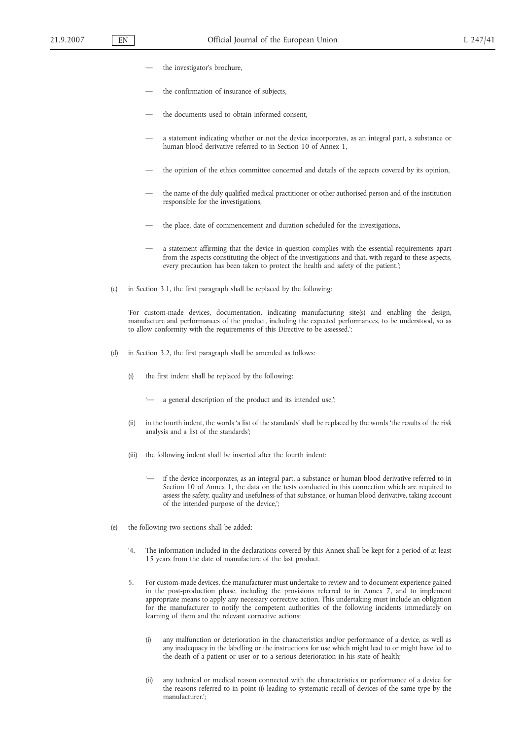- the investigator's brochure,
- the confirmation of insurance of subjects,
- the documents used to obtain informed consent,
- a statement indicating whether or not the device incorporates, as an integral part, a substance or human blood derivative referred to in Section 10 of Annex 1,
- the opinion of the ethics committee concerned and details of the aspects covered by its opinion,
- the name of the duly qualified medical practitioner or other authorised person and of the institution responsible for the investigations,
- the place, date of commencement and duration scheduled for the investigations,
- a statement affirming that the device in question complies with the essential requirements apart from the aspects constituting the object of the investigations and that, with regard to these aspects, every precaution has been taken to protect the health and safety of the patient.';
- (c) in Section 3.1, the first paragraph shall be replaced by the following:

'For custom-made devices, documentation, indicating manufacturing site(s) and enabling the design, manufacture and performances of the product, including the expected performances, to be understood, so as to allow conformity with the requirements of this Directive to be assessed.';

- (d) in Section 3.2, the first paragraph shall be amended as follows:
	- (i) the first indent shall be replaced by the following:
		- a general description of the product and its intended use,
	- (ii) in the fourth indent, the words 'a list of the standards' shall be replaced by the words 'the results of the risk analysis and a list of the standards';
	- (iii) the following indent shall be inserted after the fourth indent:
		- if the device incorporates, as an integral part, a substance or human blood derivative referred to in Section 10 of Annex 1, the data on the tests conducted in this connection which are required to assess the safety, quality and usefulness of that substance, or human blood derivative, taking account of the intended purpose of the device,';
- (e) the following two sections shall be added:
	- '4. The information included in the declarations covered by this Annex shall be kept for a period of at least 15 years from the date of manufacture of the last product.
	- 5. For custom-made devices, the manufacturer must undertake to review and to document experience gained in the post-production phase, including the provisions referred to in Annex 7, and to implement appropriate means to apply any necessary corrective action. This undertaking must include an obligation for the manufacturer to notify the competent authorities of the following incidents immediately on learning of them and the relevant corrective actions:
		- (i) any malfunction or deterioration in the characteristics and/or performance of a device, as well as any inadequacy in the labelling or the instructions for use which might lead to or might have led to the death of a patient or user or to a serious deterioration in his state of health;
		- (ii) any technical or medical reason connected with the characteristics or performance of a device for the reasons referred to in point (i) leading to systematic recall of devices of the same type by the manufacturer.';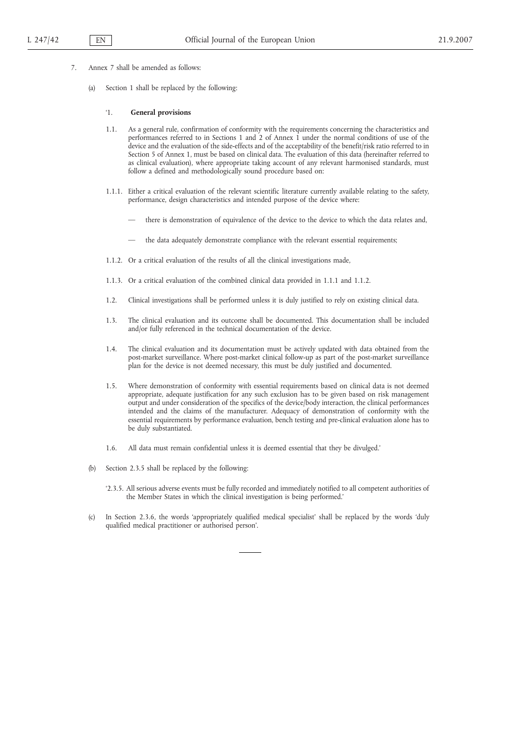- 7. Annex 7 shall be amended as follows:
	- (a) Section 1 shall be replaced by the following:

### '1. **General provisions**

- 1.1. As a general rule, confirmation of conformity with the requirements concerning the characteristics and performances referred to in Sections 1 and 2 of Annex 1 under the normal conditions of use of the device and the evaluation of the side-effects and of the acceptability of the benefit/risk ratio referred to in Section 5 of Annex 1, must be based on clinical data. The evaluation of this data (hereinafter referred to as clinical evaluation), where appropriate taking account of any relevant harmonised standards, must follow a defined and methodologically sound procedure based on:
- 1.1.1. Either a critical evaluation of the relevant scientific literature currently available relating to the safety, performance, design characteristics and intended purpose of the device where:
	- there is demonstration of equivalence of the device to the device to which the data relates and,
	- the data adequately demonstrate compliance with the relevant essential requirements;
- 1.1.2. Or a critical evaluation of the results of all the clinical investigations made,
- 1.1.3. Or a critical evaluation of the combined clinical data provided in 1.1.1 and 1.1.2.
- 1.2. Clinical investigations shall be performed unless it is duly justified to rely on existing clinical data.
- 1.3. The clinical evaluation and its outcome shall be documented. This documentation shall be included and/or fully referenced in the technical documentation of the device.
- 1.4. The clinical evaluation and its documentation must be actively updated with data obtained from the post-market surveillance. Where post-market clinical follow-up as part of the post-market surveillance plan for the device is not deemed necessary, this must be duly justified and documented.
- 1.5. Where demonstration of conformity with essential requirements based on clinical data is not deemed appropriate, adequate justification for any such exclusion has to be given based on risk management output and under consideration of the specifics of the device/body interaction, the clinical performances intended and the claims of the manufacturer. Adequacy of demonstration of conformity with the essential requirements by performance evaluation, bench testing and pre-clinical evaluation alone has to be duly substantiated.
- 1.6. All data must remain confidential unless it is deemed essential that they be divulged.'
- (b) Section 2.3.5 shall be replaced by the following:
	- '2.3.5. All serious adverse events must be fully recorded and immediately notified to all competent authorities of the Member States in which the clinical investigation is being performed.'
- (c) In Section 2.3.6, the words 'appropriately qualified medical specialist' shall be replaced by the words 'duly qualified medical practitioner or authorised person'.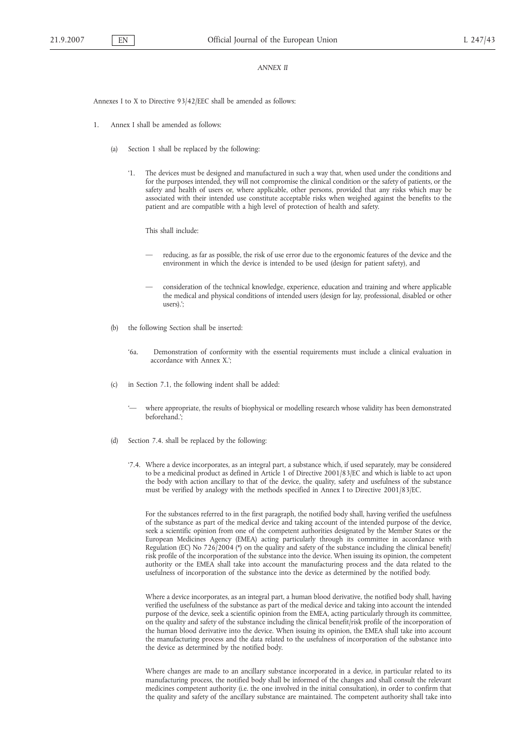#### *ANNEX II*

Annexes I to X to Directive 93/42/EEC shall be amended as follows:

- 1. Annex I shall be amended as follows:
	- (a) Section 1 shall be replaced by the following:
		- '1. The devices must be designed and manufactured in such a way that, when used under the conditions and for the purposes intended, they will not compromise the clinical condition or the safety of patients, or the safety and health of users or, where applicable, other persons, provided that any risks which may be associated with their intended use constitute acceptable risks when weighed against the benefits to the patient and are compatible with a high level of protection of health and safety.

This shall include:

- reducing, as far as possible, the risk of use error due to the ergonomic features of the device and the environment in which the device is intended to be used (design for patient safety), and
- consideration of the technical knowledge, experience, education and training and where applicable the medical and physical conditions of intended users (design for lay, professional, disabled or other users).';
- (b) the following Section shall be inserted:
	- '6a. Demonstration of conformity with the essential requirements must include a clinical evaluation in accordance with Annex X.';
- (c) in Section 7.1, the following indent shall be added:
	- where appropriate, the results of biophysical or modelling research whose validity has been demonstrated beforehand.';
- (d) Section 7.4. shall be replaced by the following:
	- '7.4. Where a device incorporates, as an integral part, a substance which, if used separately, may be considered to be a medicinal product as defined in Article 1 of Directive 2001/83/EC and which is liable to act upon the body with action ancillary to that of the device, the quality, safety and usefulness of the substance must be verified by analogy with the methods specified in Annex I to Directive 2001/83/EC.

For the substances referred to in the first paragraph, the notified body shall, having verified the usefulness of the substance as part of the medical device and taking account of the intended purpose of the device, seek a scientific opinion from one of the competent authorities designated by the Member States or the European Medicines Agency (EMEA) acting particularly through its committee in accordance with Regulation (EC) No  $726/2004$  (\*) on the quality and safety of the substance including the clinical benefit/ risk profile of the incorporation of the substance into the device. When issuing its opinion, the competent authority or the EMEA shall take into account the manufacturing process and the data related to the usefulness of incorporation of the substance into the device as determined by the notified body.

Where a device incorporates, as an integral part, a human blood derivative, the notified body shall, having verified the usefulness of the substance as part of the medical device and taking into account the intended purpose of the device, seek a scientific opinion from the EMEA, acting particularly through its committee, on the quality and safety of the substance including the clinical benefit/risk profile of the incorporation of the human blood derivative into the device. When issuing its opinion, the EMEA shall take into account the manufacturing process and the data related to the usefulness of incorporation of the substance into the device as determined by the notified body.

Where changes are made to an ancillary substance incorporated in a device, in particular related to its manufacturing process, the notified body shall be informed of the changes and shall consult the relevant medicines competent authority (i.e. the one involved in the initial consultation), in order to confirm that the quality and safety of the ancillary substance are maintained. The competent authority shall take into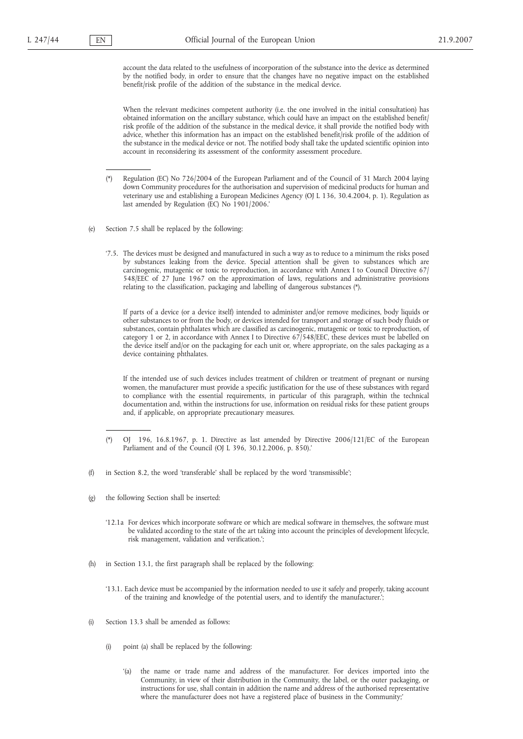account the data related to the usefulness of incorporation of the substance into the device as determined by the notified body, in order to ensure that the changes have no negative impact on the established benefit/risk profile of the addition of the substance in the medical device.

When the relevant medicines competent authority (i.e. the one involved in the initial consultation) has obtained information on the ancillary substance, which could have an impact on the established benefit/ risk profile of the addition of the substance in the medical device, it shall provide the notified body with advice, whether this information has an impact on the established benefit/risk profile of the addition of the substance in the medical device or not. The notified body shall take the updated scientific opinion into account in reconsidering its assessment of the conformity assessment procedure.

- (\*) Regulation (EC) No 726/2004 of the European Parliament and of the Council of 31 March 2004 laying down Community procedures for the authorisation and supervision of medicinal products for human and veterinary use and establishing a European Medicines Agency (OJ L 136, 30.4.2004, p. 1). Regulation as last amended by Regulation (EC) No 1901/2006.'
- (e) Section 7.5 shall be replaced by the following:
	- '7.5. The devices must be designed and manufactured in such a way as to reduce to a minimum the risks posed by substances leaking from the device. Special attention shall be given to substances which are carcinogenic, mutagenic or toxic to reproduction, in accordance with Annex I to Council Directive 67/ 548/EEC of 27 June 1967 on the approximation of laws, regulations and administrative provisions relating to the classification, packaging and labelling of dangerous substances (\*).

If parts of a device (or a device itself) intended to administer and/or remove medicines, body liquids or other substances to or from the body, or devices intended for transport and storage of such body fluids or substances, contain phthalates which are classified as carcinogenic, mutagenic or toxic to reproduction, of category 1 or 2, in accordance with Annex I to Directive  $67/548/EEC$ , these devices must be labelled on the device itself and/or on the packaging for each unit or, where appropriate, on the sales packaging as a device containing phthalates.

If the intended use of such devices includes treatment of children or treatment of pregnant or nursing women, the manufacturer must provide a specific justification for the use of these substances with regard to compliance with the essential requirements, in particular of this paragraph, within the technical documentation and, within the instructions for use, information on residual risks for these patient groups and, if applicable, on appropriate precautionary measures.

- (\*) OJ 196, 16.8.1967, p. 1. Directive as last amended by Directive 2006/121/EC of the European Parliament and of the Council (OJ L 396, 30.12.2006, p. 850).'
- (f) in Section 8.2, the word 'transferable' shall be replaced by the word 'transmissible';
- (g) the following Section shall be inserted:
	- '12.1a For devices which incorporate software or which are medical software in themselves, the software must be validated according to the state of the art taking into account the principles of development lifecycle, risk management, validation and verification.';
- (h) in Section 13.1, the first paragraph shall be replaced by the following:
	- '13.1. Each device must be accompanied by the information needed to use it safely and properly, taking account of the training and knowledge of the potential users, and to identify the manufacturer.';
- (i) Section 13.3 shall be amended as follows:
	- (i) point (a) shall be replaced by the following:
		- '(a) the name or trade name and address of the manufacturer. For devices imported into the Community, in view of their distribution in the Community, the label, or the outer packaging, or instructions for use, shall contain in addition the name and address of the authorised representative where the manufacturer does not have a registered place of business in the Community;'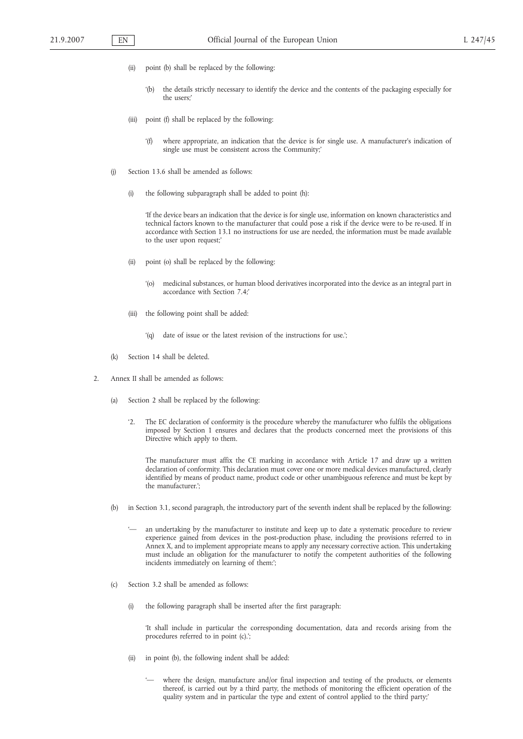- (ii) point (b) shall be replaced by the following:
	- '(b) the details strictly necessary to identify the device and the contents of the packaging especially for the users;'
- (iii) point (f) shall be replaced by the following:
	- '(f) where appropriate, an indication that the device is for single use. A manufacturer's indication of single use must be consistent across the Community;'
- (j) Section 13.6 shall be amended as follows:
	- (i) the following subparagraph shall be added to point (h):

'If the device bears an indication that the device is for single use, information on known characteristics and technical factors known to the manufacturer that could pose a risk if the device were to be re-used. If in accordance with Section 13.1 no instructions for use are needed, the information must be made available to the user upon request;'

- (ii) point (o) shall be replaced by the following:
	- '(o) medicinal substances, or human blood derivatives incorporated into the device as an integral part in accordance with Section 7.4;'
- (iii) the following point shall be added:
	- '(q) date of issue or the latest revision of the instructions for use.';
- (k) Section 14 shall be deleted.
- 2. Annex II shall be amended as follows:
	- (a) Section 2 shall be replaced by the following:
		- '2. The EC declaration of conformity is the procedure whereby the manufacturer who fulfils the obligations imposed by Section 1 ensures and declares that the products concerned meet the provisions of this Directive which apply to them.

The manufacturer must affix the CE marking in accordance with Article 17 and draw up a written declaration of conformity. This declaration must cover one or more medical devices manufactured, clearly identified by means of product name, product code or other unambiguous reference and must be kept by the manufacturer.';

- (b) in Section 3.1, second paragraph, the introductory part of the seventh indent shall be replaced by the following:
	- an undertaking by the manufacturer to institute and keep up to date a systematic procedure to review experience gained from devices in the post-production phase, including the provisions referred to in Annex X, and to implement appropriate means to apply any necessary corrective action. This undertaking must include an obligation for the manufacturer to notify the competent authorities of the following incidents immediately on learning of them:';
- (c) Section 3.2 shall be amended as follows:
	- (i) the following paragraph shall be inserted after the first paragraph:

'It shall include in particular the corresponding documentation, data and records arising from the procedures referred to in point (c).';

- (ii) in point (b), the following indent shall be added:
	- where the design, manufacture and/or final inspection and testing of the products, or elements thereof, is carried out by a third party, the methods of monitoring the efficient operation of the quality system and in particular the type and extent of control applied to the third party;'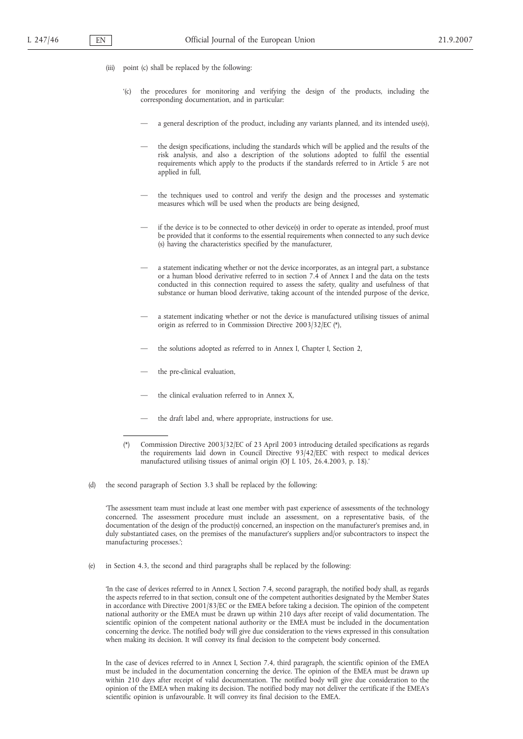- (iii) point (c) shall be replaced by the following:
	- '(c) the procedures for monitoring and verifying the design of the products, including the corresponding documentation, and in particular:
		- a general description of the product, including any variants planned, and its intended use(s),
		- the design specifications, including the standards which will be applied and the results of the risk analysis, and also a description of the solutions adopted to fulfil the essential requirements which apply to the products if the standards referred to in Article 5 are not applied in full,
		- the techniques used to control and verify the design and the processes and systematic measures which will be used when the products are being designed,
		- if the device is to be connected to other device(s) in order to operate as intended, proof must be provided that it conforms to the essential requirements when connected to any such device (s) having the characteristics specified by the manufacturer,
		- a statement indicating whether or not the device incorporates, as an integral part, a substance or a human blood derivative referred to in section 7.4 of Annex I and the data on the tests conducted in this connection required to assess the safety, quality and usefulness of that substance or human blood derivative, taking account of the intended purpose of the device,
		- a statement indicating whether or not the device is manufactured utilising tissues of animal origin as referred to in Commission Directive 2003/32/EC (\*),
		- the solutions adopted as referred to in Annex I, Chapter I, Section 2,
		- the pre-clinical evaluation,
		- the clinical evaluation referred to in Annex X
		- the draft label and, where appropriate, instructions for use.
	- (\*) Commission Directive 2003/32/EC of 23 April 2003 introducing detailed specifications as regards the requirements laid down in Council Directive 93/42/EEC with respect to medical devices manufactured utilising tissues of animal origin (OJ L 105, 26.4.2003, p. 18).'
- (d) the second paragraph of Section 3.3 shall be replaced by the following:

'The assessment team must include at least one member with past experience of assessments of the technology concerned. The assessment procedure must include an assessment, on a representative basis, of the documentation of the design of the product(s) concerned, an inspection on the manufacturer's premises and, in duly substantiated cases, on the premises of the manufacturer's suppliers and/or subcontractors to inspect the manufacturing processes.';

(e) in Section 4.3, the second and third paragraphs shall be replaced by the following:

'In the case of devices referred to in Annex I, Section 7.4, second paragraph, the notified body shall, as regards the aspects referred to in that section, consult one of the competent authorities designated by the Member States in accordance with Directive 2001/83/EC or the EMEA before taking a decision. The opinion of the competent national authority or the EMEA must be drawn up within 210 days after receipt of valid documentation. The scientific opinion of the competent national authority or the EMEA must be included in the documentation concerning the device. The notified body will give due consideration to the views expressed in this consultation when making its decision. It will convey its final decision to the competent body concerned.

In the case of devices referred to in Annex I, Section 7.4, third paragraph, the scientific opinion of the EMEA must be included in the documentation concerning the device. The opinion of the EMEA must be drawn up within 210 days after receipt of valid documentation. The notified body will give due consideration to the opinion of the EMEA when making its decision. The notified body may not deliver the certificate if the EMEA's scientific opinion is unfavourable. It will convey its final decision to the EMEA.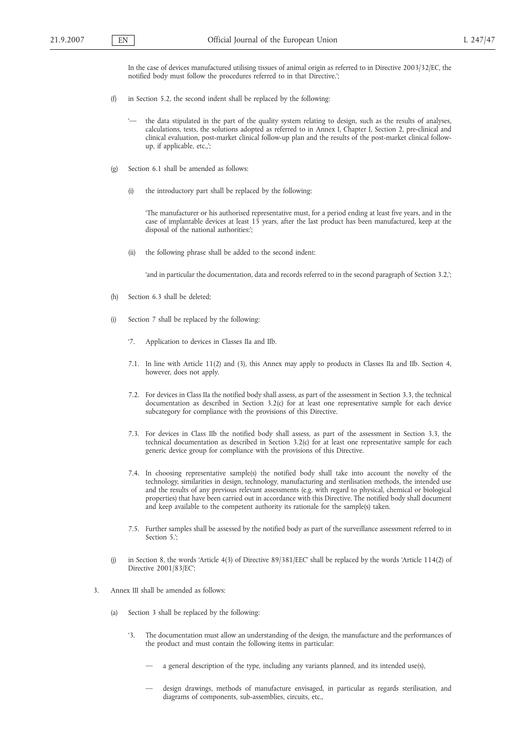In the case of devices manufactured utilising tissues of animal origin as referred to in Directive 2003/32/EC, the notified body must follow the procedures referred to in that Directive.';

- (f) in Section 5.2, the second indent shall be replaced by the following:
	- the data stipulated in the part of the quality system relating to design, such as the results of analyses, calculations, tests, the solutions adopted as referred to in Annex I, Chapter I, Section 2, pre-clinical and clinical evaluation, post-market clinical follow-up plan and the results of the post-market clinical followup, if applicable, etc.,';
- (g) Section 6.1 shall be amended as follows:
	- (i) the introductory part shall be replaced by the following:

'The manufacturer or his authorised representative must, for a period ending at least five years, and in the case of implantable devices at least 15 years, after the last product has been manufactured, keep at the disposal of the national authorities:';

(ii) the following phrase shall be added to the second indent:

'and in particular the documentation, data and records referred to in the second paragraph of Section 3.2,';

- (h) Section 6.3 shall be deleted;
- (i) Section 7 shall be replaced by the following:
	- '7. Application to devices in Classes IIa and IIb.
	- 7.1. In line with Article 11(2) and (3), this Annex may apply to products in Classes IIa and IIb. Section 4, however, does not apply.
	- 7.2. For devices in Class IIa the notified body shall assess, as part of the assessment in Section 3.3, the technical documentation as described in Section 3.2(c) for at least one representative sample for each device subcategory for compliance with the provisions of this Directive.
	- 7.3. For devices in Class IIb the notified body shall assess, as part of the assessment in Section 3.3, the technical documentation as described in Section 3.2(c) for at least one representative sample for each generic device group for compliance with the provisions of this Directive.
	- 7.4. In choosing representative sample(s) the notified body shall take into account the novelty of the technology, similarities in design, technology, manufacturing and sterilisation methods, the intended use and the results of any previous relevant assessments (e.g. with regard to physical, chemical or biological properties) that have been carried out in accordance with this Directive. The notified body shall document and keep available to the competent authority its rationale for the sample(s) taken.
	- 7.5. Further samples shall be assessed by the notified body as part of the surveillance assessment referred to in Section 5.':
- (j) in Section 8, the words 'Article 4(3) of Directive 89/381/EEC' shall be replaced by the words 'Article 114(2) of Directive 2001/83/EC';
- 3. Annex III shall be amended as follows:
	- (a) Section 3 shall be replaced by the following:
		- '3. The documentation must allow an understanding of the design, the manufacture and the performances of the product and must contain the following items in particular:
			- a general description of the type, including any variants planned, and its intended use(s),
			- design drawings, methods of manufacture envisaged, in particular as regards sterilisation, and diagrams of components, sub-assemblies, circuits, etc.,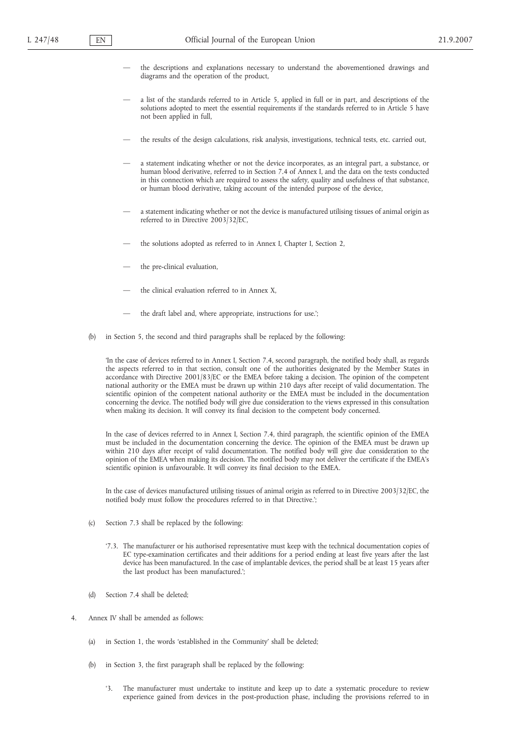- the descriptions and explanations necessary to understand the abovementioned drawings and diagrams and the operation of the product,
- a list of the standards referred to in Article 5, applied in full or in part, and descriptions of the solutions adopted to meet the essential requirements if the standards referred to in Article 5 have not been applied in full,
- the results of the design calculations, risk analysis, investigations, technical tests, etc. carried out,
- a statement indicating whether or not the device incorporates, as an integral part, a substance, or human blood derivative, referred to in Section 7.4 of Annex I, and the data on the tests conducted in this connection which are required to assess the safety, quality and usefulness of that substance, or human blood derivative, taking account of the intended purpose of the device,
- a statement indicating whether or not the device is manufactured utilising tissues of animal origin as referred to in Directive 2003/32/EC,
- the solutions adopted as referred to in Annex I, Chapter I, Section 2,
- the pre-clinical evaluation.
- the clinical evaluation referred to in Annex X,
- the draft label and, where appropriate, instructions for use.':
- in Section 5, the second and third paragraphs shall be replaced by the following:

'In the case of devices referred to in Annex I, Section 7.4, second paragraph, the notified body shall, as regards the aspects referred to in that section, consult one of the authorities designated by the Member States in accordance with Directive 2001/83/EC or the EMEA before taking a decision. The opinion of the competent national authority or the EMEA must be drawn up within 210 days after receipt of valid documentation. The scientific opinion of the competent national authority or the EMEA must be included in the documentation concerning the device. The notified body will give due consideration to the views expressed in this consultation when making its decision. It will convey its final decision to the competent body concerned.

In the case of devices referred to in Annex I, Section 7.4, third paragraph, the scientific opinion of the EMEA must be included in the documentation concerning the device. The opinion of the EMEA must be drawn up within 210 days after receipt of valid documentation. The notified body will give due consideration to the opinion of the EMEA when making its decision. The notified body may not deliver the certificate if the EMEA's scientific opinion is unfavourable. It will convey its final decision to the EMEA.

In the case of devices manufactured utilising tissues of animal origin as referred to in Directive 2003/32/EC, the notified body must follow the procedures referred to in that Directive.';

- (c) Section 7.3 shall be replaced by the following:
	- '7.3. The manufacturer or his authorised representative must keep with the technical documentation copies of EC type-examination certificates and their additions for a period ending at least five years after the last device has been manufactured. In the case of implantable devices, the period shall be at least 15 years after the last product has been manufactured.';
- (d) Section 7.4 shall be deleted;
- Annex IV shall be amended as follows:
	- (a) in Section 1, the words 'established in the Community' shall be deleted;
	- (b) in Section 3, the first paragraph shall be replaced by the following:
		- '3. The manufacturer must undertake to institute and keep up to date a systematic procedure to review experience gained from devices in the post-production phase, including the provisions referred to in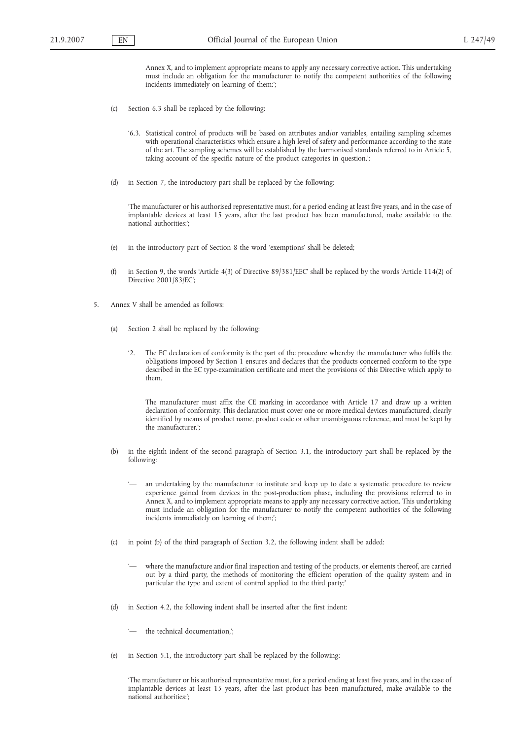Annex X, and to implement appropriate means to apply any necessary corrective action. This undertaking must include an obligation for the manufacturer to notify the competent authorities of the following incidents immediately on learning of them:';

- (c) Section 6.3 shall be replaced by the following:
	- '6.3. Statistical control of products will be based on attributes and/or variables, entailing sampling schemes with operational characteristics which ensure a high level of safety and performance according to the state of the art. The sampling schemes will be established by the harmonised standards referred to in Article 5, taking account of the specific nature of the product categories in question.';
- (d) in Section 7, the introductory part shall be replaced by the following:

'The manufacturer or his authorised representative must, for a period ending at least five years, and in the case of implantable devices at least 15 years, after the last product has been manufactured, make available to the national authorities:';

- (e) in the introductory part of Section 8 the word 'exemptions' shall be deleted;
- (f) in Section 9, the words 'Article 4(3) of Directive 89/381/EEC' shall be replaced by the words 'Article 114(2) of Directive 2001/83/EC';
- 5. Annex V shall be amended as follows:
	- (a) Section 2 shall be replaced by the following:
		- '2. The EC declaration of conformity is the part of the procedure whereby the manufacturer who fulfils the obligations imposed by Section 1 ensures and declares that the products concerned conform to the type described in the EC type-examination certificate and meet the provisions of this Directive which apply to them.

The manufacturer must affix the CE marking in accordance with Article 17 and draw up a written declaration of conformity. This declaration must cover one or more medical devices manufactured, clearly identified by means of product name, product code or other unambiguous reference, and must be kept by the manufacturer.';

- (b) in the eighth indent of the second paragraph of Section 3.1, the introductory part shall be replaced by the following:
	- an undertaking by the manufacturer to institute and keep up to date a systematic procedure to review experience gained from devices in the post-production phase, including the provisions referred to in Annex X, and to implement appropriate means to apply any necessary corrective action. This undertaking must include an obligation for the manufacturer to notify the competent authorities of the following incidents immediately on learning of them;';
- (c) in point (b) of the third paragraph of Section 3.2, the following indent shall be added:
	- where the manufacture and/or final inspection and testing of the products, or elements thereof, are carried out by a third party, the methods of monitoring the efficient operation of the quality system and in particular the type and extent of control applied to the third party;'
- (d) in Section 4.2, the following indent shall be inserted after the first indent:
	- the technical documentation.':
- (e) in Section 5.1, the introductory part shall be replaced by the following:

'The manufacturer or his authorised representative must, for a period ending at least five years, and in the case of implantable devices at least 15 years, after the last product has been manufactured, make available to the national authorities:';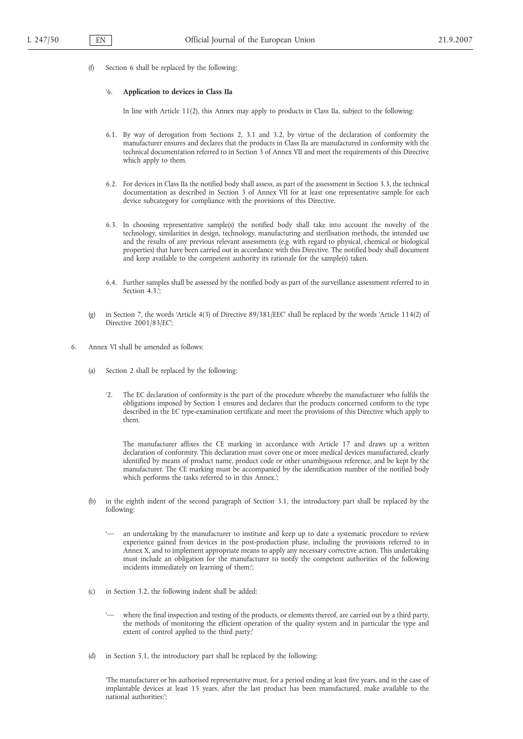(f) Section 6 shall be replaced by the following:

### '6. **Application to devices in Class IIa**

In line with Article 11(2), this Annex may apply to products in Class IIa, subject to the following:

- 6.1. By way of derogation from Sections 2, 3.1 and 3.2, by virtue of the declaration of conformity the manufacturer ensures and declares that the products in Class IIa are manufactured in conformity with the technical documentation referred to in Section 3 of Annex VII and meet the requirements of this Directive which apply to them.
- 6.2. For devices in Class IIa the notified body shall assess, as part of the assessment in Section 3.3, the technical documentation as described in Section 3 of Annex VII for at least one representative sample for each device subcategory for compliance with the provisions of this Directive.
- 6.3. In choosing representative sample(s) the notified body shall take into account the novelty of the technology, similarities in design, technology, manufacturing and sterilisation methods, the intended use and the results of any previous relevant assessments (e.g. with regard to physical, chemical or biological properties) that have been carried out in accordance with this Directive. The notified body shall document and keep available to the competent authority its rationale for the sample(s) taken.
- 6.4. Further samples shall be assessed by the notified body as part of the surveillance assessment referred to in Section 4.3.';
- (g) in Section 7, the words 'Article 4(3) of Directive 89/381/EEC' shall be replaced by the words 'Article 114(2) of Directive 2001/83/EC';
- 6. Annex VI shall be amended as follows:
	- (a) Section 2 shall be replaced by the following:
		- '2. The EC declaration of conformity is the part of the procedure whereby the manufacturer who fulfils the obligations imposed by Section 1 ensures and declares that the products concerned conform to the type described in the EC type-examination certificate and meet the provisions of this Directive which apply to them.

The manufacturer affixes the CE marking in accordance with Article 17 and draws up a written declaration of conformity. This declaration must cover one or more medical devices manufactured, clearly identified by means of product name, product code or other unambiguous reference, and be kept by the manufacturer. The CE marking must be accompanied by the identification number of the notified body which performs the tasks referred to in this Annex.';

- (b) in the eighth indent of the second paragraph of Section 3.1, the introductory part shall be replaced by the following:
	- an undertaking by the manufacturer to institute and keep up to date a systematic procedure to review experience gained from devices in the post-production phase, including the provisions referred to in Annex X, and to implement appropriate means to apply any necessary corrective action. This undertaking must include an obligation for the manufacturer to notify the competent authorities of the following incidents immediately on learning of them:';
- (c) in Section 3.2, the following indent shall be added:
	- where the final inspection and testing of the products, or elements thereof, are carried out by a third party, the methods of monitoring the efficient operation of the quality system and in particular the type and extent of control applied to the third party;'
- (d) in Section 5.1, the introductory part shall be replaced by the following:

'The manufacturer or his authorised representative must, for a period ending at least five years, and in the case of implantable devices at least 15 years, after the last product has been manufactured, make available to the national authorities:';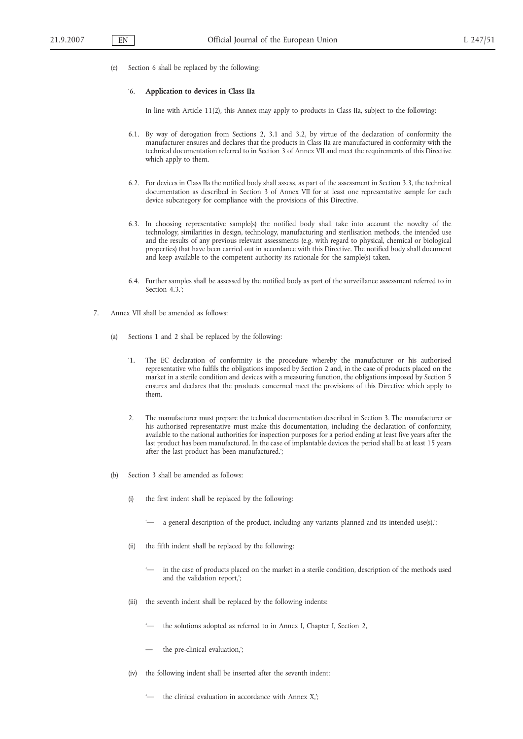(e) Section 6 shall be replaced by the following:

### '6. **Application to devices in Class IIa**

In line with Article 11(2), this Annex may apply to products in Class IIa, subject to the following:

- 6.1. By way of derogation from Sections 2, 3.1 and 3.2, by virtue of the declaration of conformity the manufacturer ensures and declares that the products in Class IIa are manufactured in conformity with the technical documentation referred to in Section 3 of Annex VII and meet the requirements of this Directive which apply to them.
- 6.2. For devices in Class IIa the notified body shall assess, as part of the assessment in Section 3.3, the technical documentation as described in Section 3 of Annex VII for at least one representative sample for each device subcategory for compliance with the provisions of this Directive.
- 6.3. In choosing representative sample(s) the notified body shall take into account the novelty of the technology, similarities in design, technology, manufacturing and sterilisation methods, the intended use and the results of any previous relevant assessments (e.g. with regard to physical, chemical or biological properties) that have been carried out in accordance with this Directive. The notified body shall document and keep available to the competent authority its rationale for the sample(s) taken.
- 6.4. Further samples shall be assessed by the notified body as part of the surveillance assessment referred to in Section 4.3.';
- 7. Annex VII shall be amended as follows:
	- (a) Sections 1 and 2 shall be replaced by the following:
		- '1. The EC declaration of conformity is the procedure whereby the manufacturer or his authorised representative who fulfils the obligations imposed by Section 2 and, in the case of products placed on the market in a sterile condition and devices with a measuring function, the obligations imposed by Section 5 ensures and declares that the products concerned meet the provisions of this Directive which apply to them.
		- 2. The manufacturer must prepare the technical documentation described in Section 3. The manufacturer or his authorised representative must make this documentation, including the declaration of conformity, available to the national authorities for inspection purposes for a period ending at least five years after the last product has been manufactured. In the case of implantable devices the period shall be at least 15 years after the last product has been manufactured.';
	- (b) Section 3 shall be amended as follows:
		- (i) the first indent shall be replaced by the following:
			- a general description of the product, including any variants planned and its intended use(s),';
		- (ii) the fifth indent shall be replaced by the following:
			- in the case of products placed on the market in a sterile condition, description of the methods used and the validation report,';
		- (iii) the seventh indent shall be replaced by the following indents:
			- the solutions adopted as referred to in Annex I, Chapter I, Section 2,
			- the pre-clinical evaluation,';
		- (iv) the following indent shall be inserted after the seventh indent:
			- '— the clinical evaluation in accordance with Annex X,';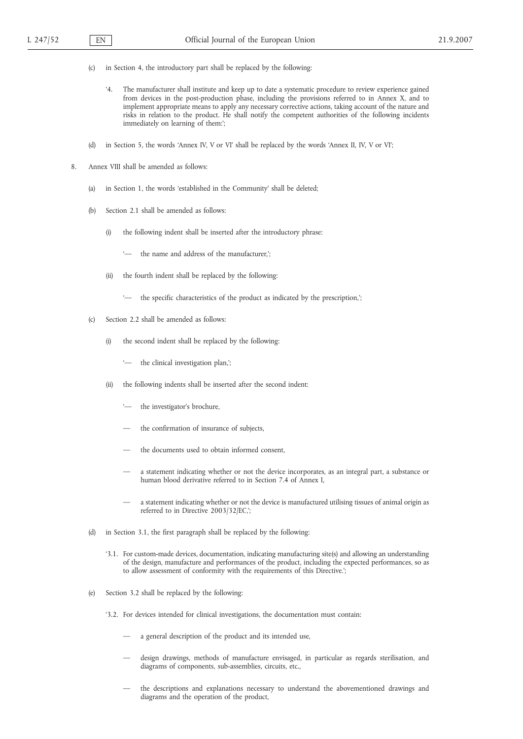- (c) in Section 4, the introductory part shall be replaced by the following:
	- '4. The manufacturer shall institute and keep up to date a systematic procedure to review experience gained from devices in the post-production phase, including the provisions referred to in Annex X, and to implement appropriate means to apply any necessary corrective actions, taking account of the nature and risks in relation to the product. He shall notify the competent authorities of the following incidents immediately on learning of them:';
- (d) in Section 5, the words 'Annex IV, V or VI' shall be replaced by the words 'Annex II, IV, V or VI';
- 8. Annex VIII shall be amended as follows:
	- (a) in Section 1, the words 'established in the Community' shall be deleted;
	- (b) Section 2.1 shall be amended as follows:
		- (i) the following indent shall be inserted after the introductory phrase:
			- '— the name and address of the manufacturer,';
		- (ii) the fourth indent shall be replaced by the following:
			- '— the specific characteristics of the product as indicated by the prescription,';
	- (c) Section 2.2 shall be amended as follows:
		- (i) the second indent shall be replaced by the following:
			- '— the clinical investigation plan,';
		- (ii) the following indents shall be inserted after the second indent:
			- '— the investigator's brochure,
			- the confirmation of insurance of subjects,
			- the documents used to obtain informed consent,
			- a statement indicating whether or not the device incorporates, as an integral part, a substance or human blood derivative referred to in Section 7.4 of Annex I,
			- a statement indicating whether or not the device is manufactured utilising tissues of animal origin as referred to in Directive 2003/32/EC,';
	- (d) in Section 3.1, the first paragraph shall be replaced by the following:
		- '3.1. For custom-made devices, documentation, indicating manufacturing site(s) and allowing an understanding of the design, manufacture and performances of the product, including the expected performances, so as to allow assessment of conformity with the requirements of this Directive.';
	- (e) Section 3.2 shall be replaced by the following:
		- '3.2. For devices intended for clinical investigations, the documentation must contain:
			- a general description of the product and its intended use,
			- design drawings, methods of manufacture envisaged, in particular as regards sterilisation, and diagrams of components, sub-assemblies, circuits, etc.,
			- the descriptions and explanations necessary to understand the abovementioned drawings and diagrams and the operation of the product,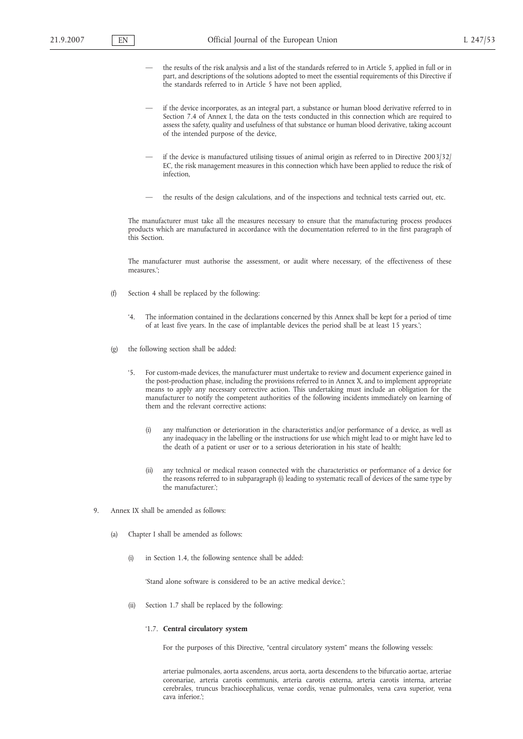- the results of the risk analysis and a list of the standards referred to in Article 5, applied in full or in part, and descriptions of the solutions adopted to meet the essential requirements of this Directive if the standards referred to in Article 5 have not been applied,
- if the device incorporates, as an integral part, a substance or human blood derivative referred to in Section 7.4 of Annex I, the data on the tests conducted in this connection which are required to assess the safety, quality and usefulness of that substance or human blood derivative, taking account of the intended purpose of the device,
- if the device is manufactured utilising tissues of animal origin as referred to in Directive 2003/32 EC, the risk management measures in this connection which have been applied to reduce the risk of infection,
- the results of the design calculations, and of the inspections and technical tests carried out, etc.

The manufacturer must take all the measures necessary to ensure that the manufacturing process produces products which are manufactured in accordance with the documentation referred to in the first paragraph of this Section.

The manufacturer must authorise the assessment, or audit where necessary, of the effectiveness of these measures.';

- (f) Section 4 shall be replaced by the following:
	- '4. The information contained in the declarations concerned by this Annex shall be kept for a period of time of at least five years. In the case of implantable devices the period shall be at least 15 years.';
- (g) the following section shall be added:
	- '5. For custom-made devices, the manufacturer must undertake to review and document experience gained in the post-production phase, including the provisions referred to in Annex X, and to implement appropriate means to apply any necessary corrective action. This undertaking must include an obligation for the manufacturer to notify the competent authorities of the following incidents immediately on learning of them and the relevant corrective actions:
		- (i) any malfunction or deterioration in the characteristics and/or performance of a device, as well as any inadequacy in the labelling or the instructions for use which might lead to or might have led to the death of a patient or user or to a serious deterioration in his state of health;
		- (ii) any technical or medical reason connected with the characteristics or performance of a device for the reasons referred to in subparagraph (i) leading to systematic recall of devices of the same type by the manufacturer.';
- 9. Annex IX shall be amended as follows:
	- (a) Chapter I shall be amended as follows:
		- (i) in Section 1.4, the following sentence shall be added:

'Stand alone software is considered to be an active medical device.';

(ii) Section 1.7 shall be replaced by the following:

# '1.7. **Central circulatory system**

For the purposes of this Directive, "central circulatory system" means the following vessels:

arteriae pulmonales, aorta ascendens, arcus aorta, aorta descendens to the bifurcatio aortae, arteriae coronariae, arteria carotis communis, arteria carotis externa, arteria carotis interna, arteriae cerebrales, truncus brachiocephalicus, venae cordis, venae pulmonales, vena cava superior, vena cava inferior.';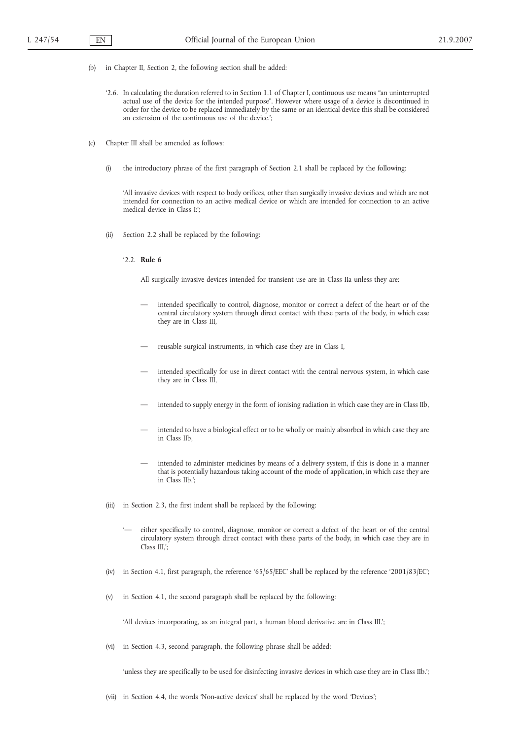- (b) in Chapter II, Section 2, the following section shall be added:
	- '2.6. In calculating the duration referred to in Section 1.1 of Chapter I, continuous use means "an uninterrupted actual use of the device for the intended purpose". However where usage of a device is discontinued in order for the device to be replaced immediately by the same or an identical device this shall be considered an extension of the continuous use of the device.';
- (c) Chapter III shall be amended as follows:
	- (i) the introductory phrase of the first paragraph of Section 2.1 shall be replaced by the following:

'All invasive devices with respect to body orifices, other than surgically invasive devices and which are not intended for connection to an active medical device or which are intended for connection to an active medical device in Class I:';

- (ii) Section 2.2 shall be replaced by the following:
	- '2.2. **Rule 6**

All surgically invasive devices intended for transient use are in Class IIa unless they are:

- intended specifically to control, diagnose, monitor or correct a defect of the heart or of the central circulatory system through direct contact with these parts of the body, in which case they are in Class III,
- reusable surgical instruments, in which case they are in Class I,
- intended specifically for use in direct contact with the central nervous system, in which case they are in Class III,
- intended to supply energy in the form of ionising radiation in which case they are in Class IIb,
- intended to have a biological effect or to be wholly or mainly absorbed in which case they are in Class IIb,
- intended to administer medicines by means of a delivery system, if this is done in a manner that is potentially hazardous taking account of the mode of application, in which case they are in Class IIb.';
- (iii) in Section 2.3, the first indent shall be replaced by the following:
	- either specifically to control, diagnose, monitor or correct a defect of the heart or of the central circulatory system through direct contact with these parts of the body, in which case they are in Class III,';
- (iv) in Section 4.1, first paragraph, the reference '65/65/EEC' shall be replaced by the reference '2001/83/EC';
- (v) in Section 4.1, the second paragraph shall be replaced by the following:

'All devices incorporating, as an integral part, a human blood derivative are in Class III.';

(vi) in Section 4.3, second paragraph, the following phrase shall be added:

'unless they are specifically to be used for disinfecting invasive devices in which case they are in Class IIb.';

(vii) in Section 4.4, the words 'Non-active devices' shall be replaced by the word 'Devices';